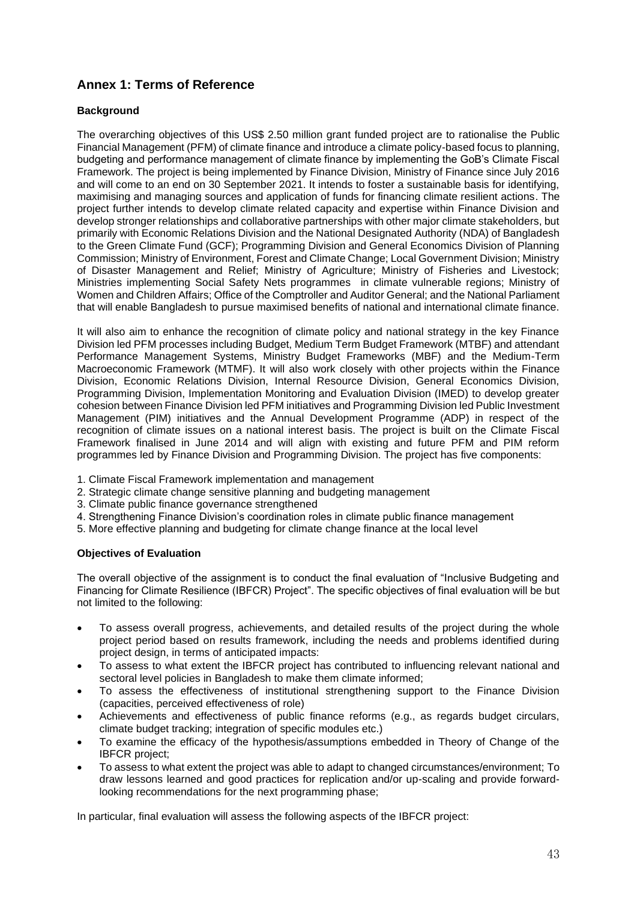# **Annex 1: Terms of Reference**

# **Background**

The overarching objectives of this US\$ 2.50 million grant funded project are to rationalise the Public Financial Management (PFM) of climate finance and introduce a climate policy-based focus to planning, budgeting and performance management of climate finance by implementing the GoB's Climate Fiscal Framework. The project is being implemented by Finance Division, Ministry of Finance since July 2016 and will come to an end on 30 September 2021. It intends to foster a sustainable basis for identifying, maximising and managing sources and application of funds for financing climate resilient actions. The project further intends to develop climate related capacity and expertise within Finance Division and develop stronger relationships and collaborative partnerships with other major climate stakeholders, but primarily with Economic Relations Division and the National Designated Authority (NDA) of Bangladesh to the Green Climate Fund (GCF); Programming Division and General Economics Division of Planning Commission; Ministry of Environment, Forest and Climate Change; Local Government Division; Ministry of Disaster Management and Relief; Ministry of Agriculture; Ministry of Fisheries and Livestock; Ministries implementing Social Safety Nets programmes in climate vulnerable regions; Ministry of Women and Children Affairs; Office of the Comptroller and Auditor General; and the National Parliament that will enable Bangladesh to pursue maximised benefits of national and international climate finance.

It will also aim to enhance the recognition of climate policy and national strategy in the key Finance Division led PFM processes including Budget, Medium Term Budget Framework (MTBF) and attendant Performance Management Systems, Ministry Budget Frameworks (MBF) and the Medium-Term Macroeconomic Framework (MTMF). It will also work closely with other projects within the Finance Division, Economic Relations Division, Internal Resource Division, General Economics Division, Programming Division, Implementation Monitoring and Evaluation Division (IMED) to develop greater cohesion between Finance Division led PFM initiatives and Programming Division led Public Investment Management (PIM) initiatives and the Annual Development Programme (ADP) in respect of the recognition of climate issues on a national interest basis. The project is built on the Climate Fiscal Framework finalised in June 2014 and will align with existing and future PFM and PIM reform programmes led by Finance Division and Programming Division. The project has five components:

- 1. Climate Fiscal Framework implementation and management
- 2. Strategic climate change sensitive planning and budgeting management
- 3. Climate public finance governance strengthened
- 4. Strengthening Finance Division's coordination roles in climate public finance management
- 5. More effective planning and budgeting for climate change finance at the local level

# **Objectives of Evaluation**

The overall objective of the assignment is to conduct the final evaluation of "Inclusive Budgeting and Financing for Climate Resilience (IBFCR) Project". The specific objectives of final evaluation will be but not limited to the following:

- To assess overall progress, achievements, and detailed results of the project during the whole project period based on results framework, including the needs and problems identified during project design, in terms of anticipated impacts:
- To assess to what extent the IBFCR project has contributed to influencing relevant national and sectoral level policies in Bangladesh to make them climate informed;
- To assess the effectiveness of institutional strengthening support to the Finance Division (capacities, perceived effectiveness of role)
- Achievements and effectiveness of public finance reforms (e.g., as regards budget circulars, climate budget tracking; integration of specific modules etc.)
- To examine the efficacy of the hypothesis/assumptions embedded in Theory of Change of the IBFCR project;
- To assess to what extent the project was able to adapt to changed circumstances/environment; To draw lessons learned and good practices for replication and/or up-scaling and provide forwardlooking recommendations for the next programming phase;

In particular, final evaluation will assess the following aspects of the IBFCR project: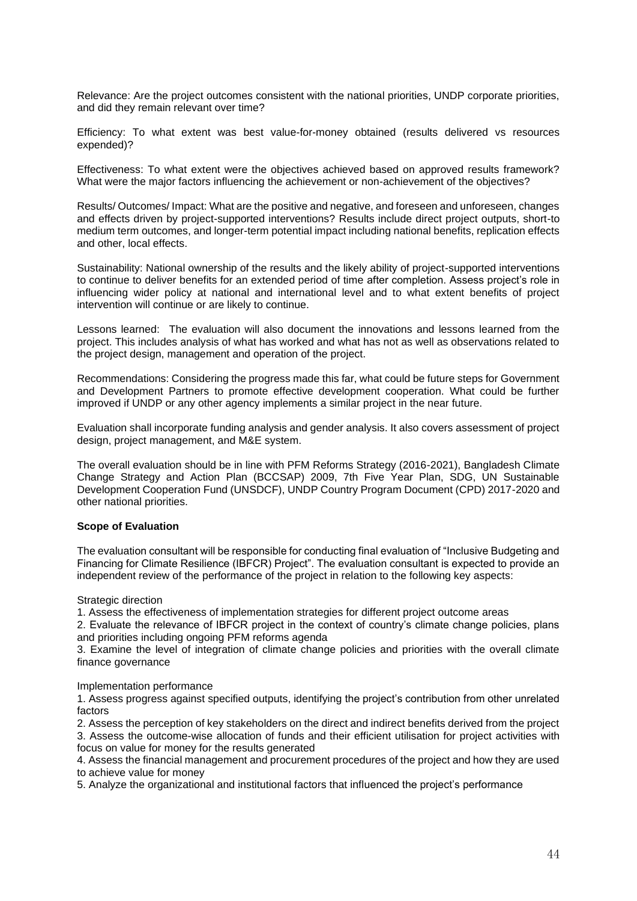Relevance: Are the project outcomes consistent with the national priorities, UNDP corporate priorities, and did they remain relevant over time?

Efficiency: To what extent was best value-for-money obtained (results delivered vs resources expended)?

Effectiveness: To what extent were the objectives achieved based on approved results framework? What were the major factors influencing the achievement or non-achievement of the objectives?

Results/ Outcomes/ Impact: What are the positive and negative, and foreseen and unforeseen, changes and effects driven by project-supported interventions? Results include direct project outputs, short-to medium term outcomes, and longer-term potential impact including national benefits, replication effects and other, local effects.

Sustainability: National ownership of the results and the likely ability of project-supported interventions to continue to deliver benefits for an extended period of time after completion. Assess project's role in influencing wider policy at national and international level and to what extent benefits of project intervention will continue or are likely to continue.

Lessons learned: The evaluation will also document the innovations and lessons learned from the project. This includes analysis of what has worked and what has not as well as observations related to the project design, management and operation of the project.

Recommendations: Considering the progress made this far, what could be future steps for Government and Development Partners to promote effective development cooperation. What could be further improved if UNDP or any other agency implements a similar project in the near future.

Evaluation shall incorporate funding analysis and gender analysis. It also covers assessment of project design, project management, and M&E system.

The overall evaluation should be in line with PFM Reforms Strategy (2016-2021), Bangladesh Climate Change Strategy and Action Plan (BCCSAP) 2009, 7th Five Year Plan, SDG, UN Sustainable Development Cooperation Fund (UNSDCF), UNDP Country Program Document (CPD) 2017-2020 and other national priorities.

#### **Scope of Evaluation**

The evaluation consultant will be responsible for conducting final evaluation of "Inclusive Budgeting and Financing for Climate Resilience (IBFCR) Project". The evaluation consultant is expected to provide an independent review of the performance of the project in relation to the following key aspects:

Strategic direction

1. Assess the effectiveness of implementation strategies for different project outcome areas

2. Evaluate the relevance of IBFCR project in the context of country's climate change policies, plans and priorities including ongoing PFM reforms agenda

3. Examine the level of integration of climate change policies and priorities with the overall climate finance governance

Implementation performance

1. Assess progress against specified outputs, identifying the project's contribution from other unrelated factors

2. Assess the perception of key stakeholders on the direct and indirect benefits derived from the project 3. Assess the outcome-wise allocation of funds and their efficient utilisation for project activities with focus on value for money for the results generated

4. Assess the financial management and procurement procedures of the project and how they are used to achieve value for money

5. Analyze the organizational and institutional factors that influenced the project's performance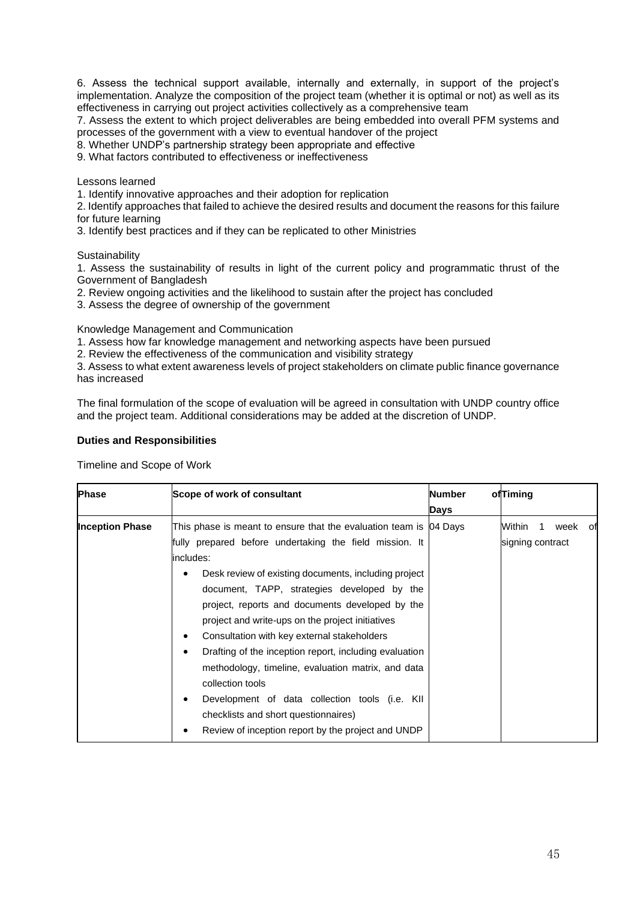6. Assess the technical support available, internally and externally, in support of the project's implementation. Analyze the composition of the project team (whether it is optimal or not) as well as its effectiveness in carrying out project activities collectively as a comprehensive team

7. Assess the extent to which project deliverables are being embedded into overall PFM systems and processes of the government with a view to eventual handover of the project

8. Whether UNDP's partnership strategy been appropriate and effective

9. What factors contributed to effectiveness or ineffectiveness

#### Lessons learned

1. Identify innovative approaches and their adoption for replication

2. Identify approaches that failed to achieve the desired results and document the reasons for this failure for future learning

3. Identify best practices and if they can be replicated to other Ministries

#### **Sustainability**

1. Assess the sustainability of results in light of the current policy and programmatic thrust of the Government of Bangladesh

2. Review ongoing activities and the likelihood to sustain after the project has concluded

3. Assess the degree of ownership of the government

Knowledge Management and Communication

1. Assess how far knowledge management and networking aspects have been pursued

2. Review the effectiveness of the communication and visibility strategy

3. Assess to what extent awareness levels of project stakeholders on climate public finance governance has increased

The final formulation of the scope of evaluation will be agreed in consultation with UNDP country office and the project team. Additional considerations may be added at the discretion of UNDP.

# **Duties and Responsibilities**

Timeline and Scope of Work

| <b>Phase</b>           | Scope of work of consultant                                         | <b>Number</b> | ofTiming             |
|------------------------|---------------------------------------------------------------------|---------------|----------------------|
|                        |                                                                     | Days          |                      |
| <b>Inception Phase</b> | This phase is meant to ensure that the evaluation team is [04 Days] |               | Within<br>week<br>ot |
|                        | fully prepared before undertaking the field mission. It             |               | signing contract     |
|                        | includes:                                                           |               |                      |
|                        | Desk review of existing documents, including project                |               |                      |
|                        | document, TAPP, strategies developed by the                         |               |                      |
|                        | project, reports and documents developed by the                     |               |                      |
|                        | project and write-ups on the project initiatives                    |               |                      |
|                        | Consultation with key external stakeholders<br>$\bullet$            |               |                      |
|                        | Drafting of the inception report, including evaluation<br>٠         |               |                      |
|                        | methodology, timeline, evaluation matrix, and data                  |               |                      |
|                        | collection tools                                                    |               |                      |
|                        | Development of data collection tools (i.e. KII<br>٠                 |               |                      |
|                        | checklists and short questionnaires)                                |               |                      |
|                        | Review of inception report by the project and UNDP                  |               |                      |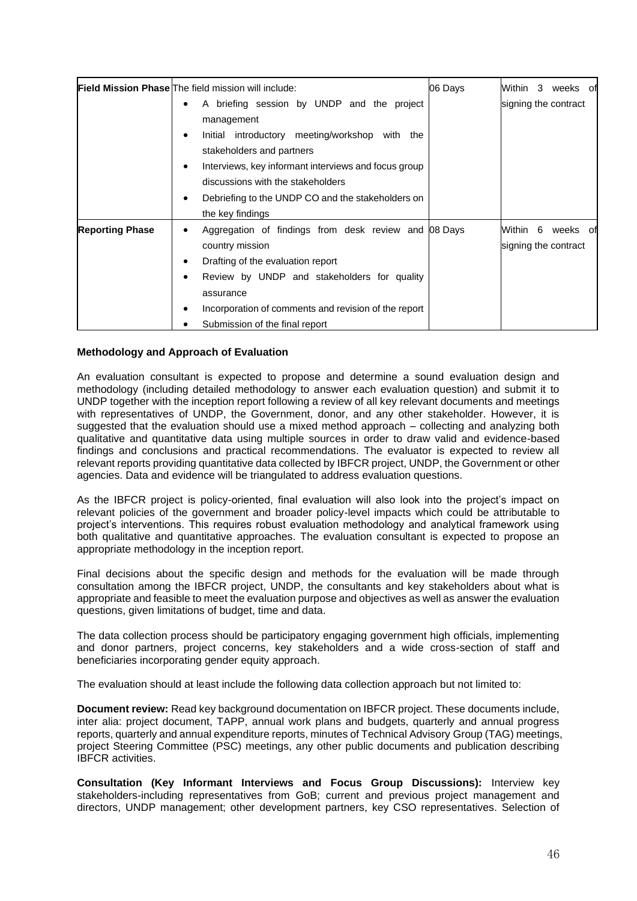|                        | <b>Field Mission Phase</b> The field mission will include:                                                                                                                                                                                                                                                              | 06 Days | Within 3 weeks of                |          |  |
|------------------------|-------------------------------------------------------------------------------------------------------------------------------------------------------------------------------------------------------------------------------------------------------------------------------------------------------------------------|---------|----------------------------------|----------|--|
|                        | A briefing session by UNDP and the project<br>management<br>Initial introductory meeting/workshop with the<br>stakeholders and partners<br>Interviews, key informant interviews and focus group<br>٠<br>discussions with the stakeholders<br>Debriefing to the UNDP CO and the stakeholders on<br>٠<br>the key findings |         | signing the contract             |          |  |
| <b>Reporting Phase</b> | Aggregation of findings from desk review and 08 Days<br>country mission<br>Drafting of the evaluation report<br>Review by UNDP and stakeholders for quality<br>assurance<br>Incorporation of comments and revision of the report<br>Submission of the final report                                                      |         | Within 6<br>signing the contract | weeks of |  |

# **Methodology and Approach of Evaluation**

An evaluation consultant is expected to propose and determine a sound evaluation design and methodology (including detailed methodology to answer each evaluation question) and submit it to UNDP together with the inception report following a review of all key relevant documents and meetings with representatives of UNDP, the Government, donor, and any other stakeholder. However, it is suggested that the evaluation should use a mixed method approach – collecting and analyzing both qualitative and quantitative data using multiple sources in order to draw valid and evidence-based findings and conclusions and practical recommendations. The evaluator is expected to review all relevant reports providing quantitative data collected by IBFCR project, UNDP, the Government or other agencies. Data and evidence will be triangulated to address evaluation questions.

As the IBFCR project is policy-oriented, final evaluation will also look into the project's impact on relevant policies of the government and broader policy-level impacts which could be attributable to project's interventions. This requires robust evaluation methodology and analytical framework using both qualitative and quantitative approaches. The evaluation consultant is expected to propose an appropriate methodology in the inception report.

Final decisions about the specific design and methods for the evaluation will be made through consultation among the IBFCR project, UNDP, the consultants and key stakeholders about what is appropriate and feasible to meet the evaluation purpose and objectives as well as answer the evaluation questions, given limitations of budget, time and data.

The data collection process should be participatory engaging government high officials, implementing and donor partners, project concerns, key stakeholders and a wide cross-section of staff and beneficiaries incorporating gender equity approach.

The evaluation should at least include the following data collection approach but not limited to:

**Document review:** Read key background documentation on IBFCR project. These documents include, inter alia: project document, TAPP, annual work plans and budgets, quarterly and annual progress reports, quarterly and annual expenditure reports, minutes of Technical Advisory Group (TAG) meetings, project Steering Committee (PSC) meetings, any other public documents and publication describing IBFCR activities.

**Consultation (Key Informant Interviews and Focus Group Discussions):** Interview key stakeholders-including representatives from GoB; current and previous project management and directors, UNDP management; other development partners, key CSO representatives. Selection of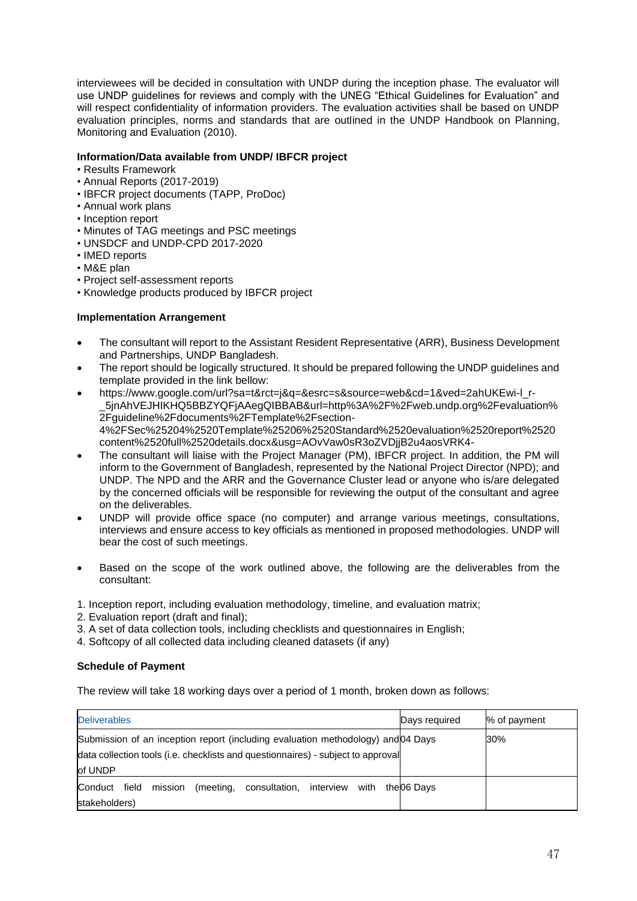interviewees will be decided in consultation with UNDP during the inception phase. The evaluator will use UNDP guidelines for reviews and comply with the UNEG "Ethical Guidelines for Evaluation" and will respect confidentiality of information providers. The evaluation activities shall be based on UNDP evaluation principles, norms and standards that are outlined in the UNDP Handbook on Planning, Monitoring and Evaluation (2010).

### **Information/Data available from UNDP/ IBFCR project**

- Results Framework
- Annual Reports (2017-2019)
- IBFCR project documents (TAPP, ProDoc)
- Annual work plans
- Inception report
- Minutes of TAG meetings and PSC meetings
- UNSDCF and UNDP-CPD 2017-2020
- IMED reports
- M&E plan
- Project self-assessment reports
- Knowledge products produced by IBFCR project

#### **Implementation Arrangement**

- The consultant will report to the Assistant Resident Representative (ARR), Business Development and Partnerships, UNDP Bangladesh.
- The report should be logically structured. It should be prepared following the UNDP guidelines and template provided in the link bellow:
- https://www.google.com/url?sa=t&rct=j&q=&esrc=s&source=web&cd=1&ved=2ahUKEwi-l\_r- \_5jnAhVEJHIKHQ5BBZYQFjAAegQIBBAB&url=http%3A%2F%2Fweb.undp.org%2Fevaluation% 2Fguideline%2Fdocuments%2FTemplate%2Fsection-4%2FSec%25204%2520Template%25206%2520Standard%2520evaluation%2520report%2520 content%2520full%2520details.docx&usg=AOvVaw0sR3oZVDjjB2u4aosVRK4-
- The consultant will liaise with the Project Manager (PM), IBFCR project. In addition, the PM will inform to the Government of Bangladesh, represented by the National Project Director (NPD); and UNDP. The NPD and the ARR and the Governance Cluster lead or anyone who is/are delegated by the concerned officials will be responsible for reviewing the output of the consultant and agree on the deliverables.
- UNDP will provide office space (no computer) and arrange various meetings, consultations, interviews and ensure access to key officials as mentioned in proposed methodologies. UNDP will bear the cost of such meetings.
- Based on the scope of the work outlined above, the following are the deliverables from the consultant:
- 1. Inception report, including evaluation methodology, timeline, and evaluation matrix;
- 2. Evaluation report (draft and final);
- 3. A set of data collection tools, including checklists and questionnaires in English;
- 4. Softcopy of all collected data including cleaned datasets (if any)

#### **Schedule of Payment**

The review will take 18 working days over a period of 1 month, broken down as follows:

| <b>Deliverables</b>                                                               | Days required | % of payment |
|-----------------------------------------------------------------------------------|---------------|--------------|
| Submission of an inception report (including evaluation methodology) and [04 Days |               | 30%          |
| data collection tools (i.e. checklists and questionnaires) - subject to approval  |               |              |
| of UNDP                                                                           |               |              |
| mission<br>Conduct field<br>consultation, interview<br>with<br>(meeting,          | the06 Davs    |              |
| stakeholders)                                                                     |               |              |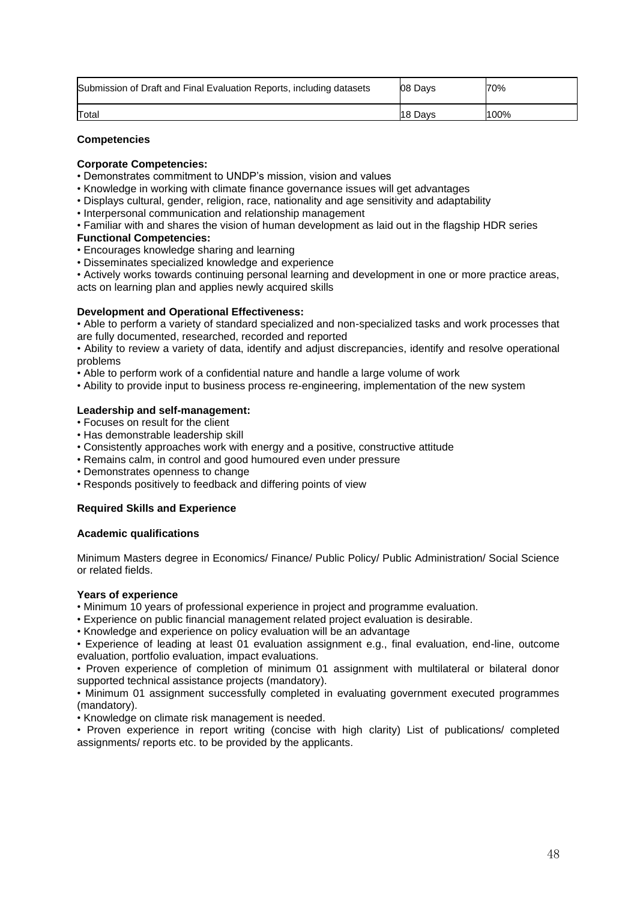| Submission of Draft and Final Evaluation Reports, including datasets | 08 Days | 70%     |
|----------------------------------------------------------------------|---------|---------|
| Total                                                                | 18 Davs | $100\%$ |

# **Competencies**

#### **Corporate Competencies:**

- Demonstrates commitment to UNDP's mission, vision and values
- Knowledge in working with climate finance governance issues will get advantages
- Displays cultural, gender, religion, race, nationality and age sensitivity and adaptability
- Interpersonal communication and relationship management
- Familiar with and shares the vision of human development as laid out in the flagship HDR series
- **Functional Competencies:**
- Encourages knowledge sharing and learning
- Disseminates specialized knowledge and experience

• Actively works towards continuing personal learning and development in one or more practice areas, acts on learning plan and applies newly acquired skills

#### **Development and Operational Effectiveness:**

• Able to perform a variety of standard specialized and non-specialized tasks and work processes that are fully documented, researched, recorded and reported

• Ability to review a variety of data, identify and adjust discrepancies, identify and resolve operational problems

• Able to perform work of a confidential nature and handle a large volume of work

• Ability to provide input to business process re-engineering, implementation of the new system

#### **Leadership and self-management:**

- Focuses on result for the client
- Has demonstrable leadership skill
- Consistently approaches work with energy and a positive, constructive attitude
- Remains calm, in control and good humoured even under pressure
- Demonstrates openness to change
- Responds positively to feedback and differing points of view

# **Required Skills and Experience**

#### **Academic qualifications**

Minimum Masters degree in Economics/ Finance/ Public Policy/ Public Administration/ Social Science or related fields.

# **Years of experience**

- Minimum 10 years of professional experience in project and programme evaluation.
- Experience on public financial management related project evaluation is desirable.
- Knowledge and experience on policy evaluation will be an advantage

• Experience of leading at least 01 evaluation assignment e.g., final evaluation, end-line, outcome evaluation, portfolio evaluation, impact evaluations.

• Proven experience of completion of minimum 01 assignment with multilateral or bilateral donor supported technical assistance projects (mandatory).

• Minimum 01 assignment successfully completed in evaluating government executed programmes (mandatory).

• Knowledge on climate risk management is needed.

• Proven experience in report writing (concise with high clarity) List of publications/ completed assignments/ reports etc. to be provided by the applicants.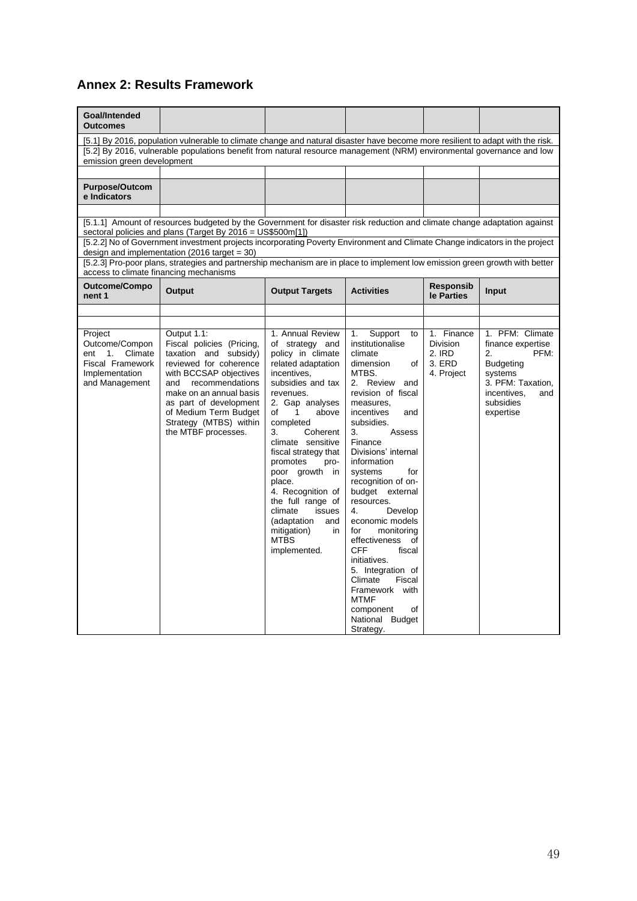# **Annex 2: Results Framework**

| Goal/Intended<br><b>Outcomes</b>                                                                       |                                                                                                                                                                                                                                                                                |                                                                                                                                                                                                                                                                                                                                                                                                                                                        |                                                                                                                                                                                                                                                                                                                                                                                                                                                                                                                                                                    |                                                          |                                                                                                                                                        |
|--------------------------------------------------------------------------------------------------------|--------------------------------------------------------------------------------------------------------------------------------------------------------------------------------------------------------------------------------------------------------------------------------|--------------------------------------------------------------------------------------------------------------------------------------------------------------------------------------------------------------------------------------------------------------------------------------------------------------------------------------------------------------------------------------------------------------------------------------------------------|--------------------------------------------------------------------------------------------------------------------------------------------------------------------------------------------------------------------------------------------------------------------------------------------------------------------------------------------------------------------------------------------------------------------------------------------------------------------------------------------------------------------------------------------------------------------|----------------------------------------------------------|--------------------------------------------------------------------------------------------------------------------------------------------------------|
|                                                                                                        | [5.1] By 2016, population vulnerable to climate change and natural disaster have become more resilient to adapt with the risk.                                                                                                                                                 |                                                                                                                                                                                                                                                                                                                                                                                                                                                        |                                                                                                                                                                                                                                                                                                                                                                                                                                                                                                                                                                    |                                                          |                                                                                                                                                        |
| emission green development                                                                             | [5.2] By 2016, vulnerable populations benefit from natural resource management (NRM) environmental governance and low                                                                                                                                                          |                                                                                                                                                                                                                                                                                                                                                                                                                                                        |                                                                                                                                                                                                                                                                                                                                                                                                                                                                                                                                                                    |                                                          |                                                                                                                                                        |
|                                                                                                        |                                                                                                                                                                                                                                                                                |                                                                                                                                                                                                                                                                                                                                                                                                                                                        |                                                                                                                                                                                                                                                                                                                                                                                                                                                                                                                                                                    |                                                          |                                                                                                                                                        |
| <b>Purpose/Outcom</b><br>e Indicators                                                                  |                                                                                                                                                                                                                                                                                |                                                                                                                                                                                                                                                                                                                                                                                                                                                        |                                                                                                                                                                                                                                                                                                                                                                                                                                                                                                                                                                    |                                                          |                                                                                                                                                        |
|                                                                                                        |                                                                                                                                                                                                                                                                                |                                                                                                                                                                                                                                                                                                                                                                                                                                                        |                                                                                                                                                                                                                                                                                                                                                                                                                                                                                                                                                                    |                                                          |                                                                                                                                                        |
|                                                                                                        | [5.1.1] Amount of resources budgeted by the Government for disaster risk reduction and climate change adaptation against<br>sectoral policies and plans (Target By 2016 = US\$500m[1])                                                                                         |                                                                                                                                                                                                                                                                                                                                                                                                                                                        |                                                                                                                                                                                                                                                                                                                                                                                                                                                                                                                                                                    |                                                          |                                                                                                                                                        |
|                                                                                                        | [5.2.2] No of Government investment projects incorporating Poverty Environment and Climate Change indicators in the project<br>design and implementation (2016 target $=$ 30)                                                                                                  |                                                                                                                                                                                                                                                                                                                                                                                                                                                        |                                                                                                                                                                                                                                                                                                                                                                                                                                                                                                                                                                    |                                                          |                                                                                                                                                        |
|                                                                                                        | [5.2.3] Pro-poor plans, strategies and partnership mechanism are in place to implement low emission green growth with better<br>access to climate financing mechanisms                                                                                                         |                                                                                                                                                                                                                                                                                                                                                                                                                                                        |                                                                                                                                                                                                                                                                                                                                                                                                                                                                                                                                                                    |                                                          |                                                                                                                                                        |
| Outcome/Compo<br>nent 1                                                                                | Output                                                                                                                                                                                                                                                                         | <b>Output Targets</b>                                                                                                                                                                                                                                                                                                                                                                                                                                  | <b>Activities</b>                                                                                                                                                                                                                                                                                                                                                                                                                                                                                                                                                  | <b>Responsib</b><br>le Parties                           | <b>Input</b>                                                                                                                                           |
|                                                                                                        |                                                                                                                                                                                                                                                                                |                                                                                                                                                                                                                                                                                                                                                                                                                                                        |                                                                                                                                                                                                                                                                                                                                                                                                                                                                                                                                                                    |                                                          |                                                                                                                                                        |
|                                                                                                        |                                                                                                                                                                                                                                                                                |                                                                                                                                                                                                                                                                                                                                                                                                                                                        |                                                                                                                                                                                                                                                                                                                                                                                                                                                                                                                                                                    |                                                          |                                                                                                                                                        |
| Project<br>Outcome/Compon<br>1. Climate<br>ent<br>Fiscal Framework<br>Implementation<br>and Management | Output 1.1:<br>Fiscal policies (Pricing,<br>taxation and subsidy)<br>reviewed for coherence<br>with BCCSAP objectives<br>recommendations<br>and<br>make on an annual basis<br>as part of development<br>of Medium Term Budget<br>Strategy (MTBS) within<br>the MTBF processes. | 1. Annual Review<br>of strategy and<br>policy in climate<br>related adaptation<br>incentives,<br>subsidies and tax<br>revenues.<br>2. Gap analyses<br>of<br>$\mathbf{1}$<br>above<br>completed<br>3.<br>Coherent<br>climate sensitive<br>fiscal strategy that<br>promotes<br>pro-<br>poor growth in<br>place.<br>4. Recognition of<br>the full range of<br>climate<br>issues<br>(adaptation<br>and<br>mitigation)<br>in<br><b>MTBS</b><br>implemented. | Support<br>1.<br>to<br>institutionalise<br>climate<br>dimension<br>of<br>MTBS.<br>2. Review and<br>revision of fiscal<br>measures,<br>incentives<br>and<br>subsidies.<br>3.<br>Assess<br>Finance<br>Divisions' internal<br>information<br>systems<br>for<br>recognition of on-<br>budget external<br>resources.<br>4.<br>Develop<br>economic models<br>monitoring<br>for<br>effectiveness of<br><b>CFF</b><br>fiscal<br>initiatives.<br>5. Integration of<br>Climate<br>Fiscal<br>Framework with<br><b>MTMF</b><br>component<br>of<br>National Budget<br>Strategy. | 1. Finance<br>Division<br>2. IRD<br>3. ERD<br>4. Project | 1. PFM: Climate<br>finance expertise<br>PFM:<br>2.<br><b>Budgeting</b><br>systems<br>3. PFM: Taxation,<br>incentives.<br>and<br>subsidies<br>expertise |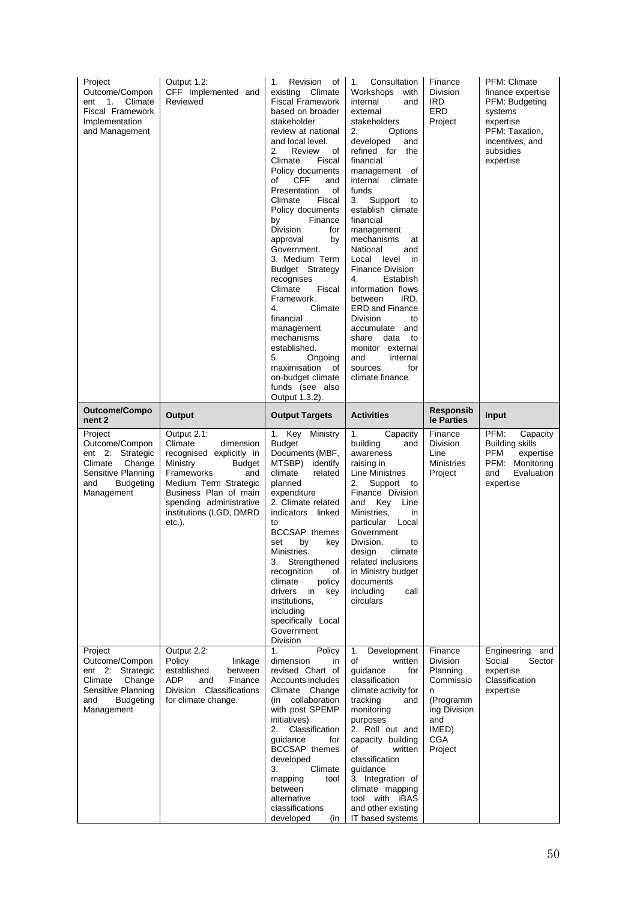| Project<br>Outcome/Compon<br>Climate<br>ent<br>1.<br>Fiscal Framework<br>Implementation<br>and Management                         | Output 1.2:<br>CFF Implemented and<br>Reviewed                                                                                                                                                                                         | Revision<br>1.<br>of<br>Climate<br>existing<br><b>Fiscal Framework</b><br>based on broader<br>stakeholder<br>review at national<br>and local level.<br>2.<br>Review<br>of<br>Climate<br>Fiscal<br>Policy documents<br><b>CFF</b><br>of<br>and<br>Presentation<br>of<br>Climate<br>Fiscal<br>Policy documents<br>by<br>Finance<br>Division<br>for<br>approval<br>by<br>Government.<br>3. Medium Term<br>Budget Strategy<br>recognises<br>Climate<br>Fiscal<br>Framework.<br>4.<br>Climate<br>financial<br>management<br>mechanisms<br>established.<br>5.<br>Ongoing<br>maximisation<br>of<br>on-budget climate<br>funds (see also<br>Output 1.3.2). | 1.<br>Consultation<br>Workshops<br>with<br>internal<br>and<br>external<br>stakeholders<br>2.<br>Options<br>developed<br>and<br>refined for the<br>financial<br>management of<br>internal<br>climate<br>funds<br>Support<br>3.<br>to<br>establish climate<br>financial<br>management<br>mechanisms<br>at<br>National<br>and<br>Local<br>level<br>in in<br>Finance Division<br>Establish<br>4.<br>information flows<br>between<br>IRD,<br><b>ERD and Finance</b><br>Division<br>to<br>accumulate and<br>share<br>data to<br>monitor external<br>and<br>internal<br>sources<br>for<br>climate finance. | Finance<br>Division<br><b>IRD</b><br><b>ERD</b><br>Project                                                                     | PFM: Climate<br>finance expertise<br>PFM: Budgeting<br>systems<br>expertise<br>PFM: Taxation,<br>incentives, and<br>subsidies<br>expertise |
|-----------------------------------------------------------------------------------------------------------------------------------|----------------------------------------------------------------------------------------------------------------------------------------------------------------------------------------------------------------------------------------|----------------------------------------------------------------------------------------------------------------------------------------------------------------------------------------------------------------------------------------------------------------------------------------------------------------------------------------------------------------------------------------------------------------------------------------------------------------------------------------------------------------------------------------------------------------------------------------------------------------------------------------------------|-----------------------------------------------------------------------------------------------------------------------------------------------------------------------------------------------------------------------------------------------------------------------------------------------------------------------------------------------------------------------------------------------------------------------------------------------------------------------------------------------------------------------------------------------------------------------------------------------------|--------------------------------------------------------------------------------------------------------------------------------|--------------------------------------------------------------------------------------------------------------------------------------------|
| Outcome/Compo<br>nent 2                                                                                                           | Output                                                                                                                                                                                                                                 | <b>Output Targets</b>                                                                                                                                                                                                                                                                                                                                                                                                                                                                                                                                                                                                                              | <b>Activities</b>                                                                                                                                                                                                                                                                                                                                                                                                                                                                                                                                                                                   | <b>Responsib</b><br>le Parties                                                                                                 | <b>Input</b>                                                                                                                               |
| Project<br>Outcome/Compon<br>ent 2: Strategic<br>Change<br>Climate<br>Sensitive Planning<br>and<br><b>Budgeting</b><br>Management | Output 2.1:<br>Climate<br>dimension<br>recognised explicitly in<br>Ministry<br><b>Budget</b><br>Frameworks<br>and<br>Medium Term Strategic<br>Business Plan of main<br>spending administrative<br>institutions (LGD, DMRD<br>$etc.$ ). | 1. Key<br>Ministry<br><b>Budget</b><br>Documents (MBF,<br>MTSBP)<br>identify<br>related<br>climate<br>planned<br>expenditure<br>2. Climate related<br>indicators linked<br>to<br>BCCSAP themes<br>set<br>by<br>key<br>Ministries.<br>Strengthened<br>3.<br>recognition<br>οf<br>climate<br>policy<br>drivers<br>in<br>key<br>institutions,<br>including<br>specifically Local<br>Government<br>Division                                                                                                                                                                                                                                            | 1.<br>Capacity<br>building<br>and<br>awareness<br>raising in<br>Line Ministries<br>2.<br>Support<br>to<br>Finance Division<br>and<br>Key Line<br>Ministries,<br>in<br>particular<br>Local<br>Government<br>Division,<br>to<br>design<br>climate<br>related inclusions<br>in Ministry budget<br>documents<br>including<br>call<br>circulars                                                                                                                                                                                                                                                          | Finance<br>Division<br>Line<br><b>Ministries</b><br>Project                                                                    | PFM:<br>Capacity<br><b>Building skills</b><br>PFM<br>expertise<br>PFM: Monitoring<br>Evaluation<br>and<br>expertise                        |
| Project<br>Outcome/Compon<br>ent 2: Strategic<br>Climate<br>Change<br>Sensitive Planning<br>and<br><b>Budgeting</b><br>Management | Output 2.2:<br>Policy<br>linkage<br>established<br>between<br>ADP<br>and<br>Finance<br>Division Classifications<br>for climate change.                                                                                                 | Policy<br>1.<br>dimension<br>in<br>revised Chart of<br>Accounts includes<br>Climate Change<br>(in<br>collaboration<br>with post SPEMP<br>initiatives)<br>Classification<br>2.<br>guidance<br>for<br><b>BCCSAP</b> themes<br>developed<br>3.<br>Climate<br>mapping<br>tool<br>between<br>alternative<br>classifications<br>developed<br>(in                                                                                                                                                                                                                                                                                                         | 1.<br>Development<br>of<br>written<br>guidance<br>for<br>classification<br>climate activity for<br>tracking<br>and<br>monitoring<br>purposes<br>2. Roll out and<br>capacity building<br>written<br>of<br>classification<br>guidance<br>3. Integration of<br>climate mapping<br>tool with iBAS<br>and other existing<br>IT based systems                                                                                                                                                                                                                                                             | Finance<br><b>Division</b><br>Planning<br>Commissio<br>n<br>(Programm<br>ing Division<br>and<br>IMED)<br><b>CGA</b><br>Project | Engineering<br>and<br>Social<br>Sector<br>expertise<br>Classification<br>expertise                                                         |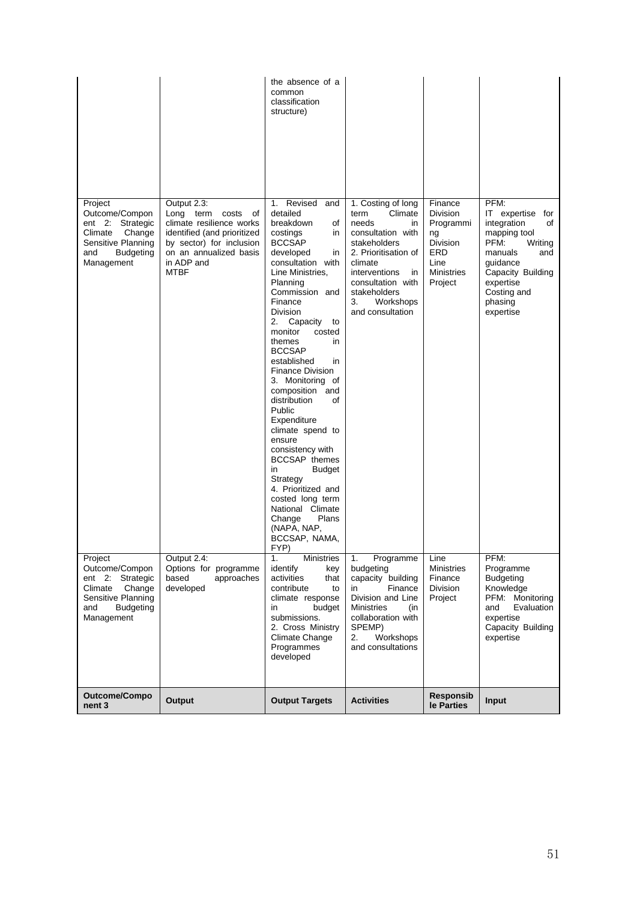|                                                                                                                                      |                                                                                                                                                                                       | the absence of a<br>common<br>classification<br>structure)                                                                                                                                                                                                                                                                                                                                                                                                                                                                                                                                                                                                         |                                                                                                                                                                                                                                  |                                                                                                   |                                                                                                                                                                                         |
|--------------------------------------------------------------------------------------------------------------------------------------|---------------------------------------------------------------------------------------------------------------------------------------------------------------------------------------|--------------------------------------------------------------------------------------------------------------------------------------------------------------------------------------------------------------------------------------------------------------------------------------------------------------------------------------------------------------------------------------------------------------------------------------------------------------------------------------------------------------------------------------------------------------------------------------------------------------------------------------------------------------------|----------------------------------------------------------------------------------------------------------------------------------------------------------------------------------------------------------------------------------|---------------------------------------------------------------------------------------------------|-----------------------------------------------------------------------------------------------------------------------------------------------------------------------------------------|
| Project<br>Outcome/Compon<br>ent 2: Strategic<br>Climate<br>Change<br>Sensitive Planning<br>and<br><b>Budgeting</b><br>Management    | Output 2.3:<br>Long term<br>costs<br>of<br>climate resilience works<br>identified (and prioritized<br>by sector) for inclusion<br>on an annualized basis<br>in ADP and<br><b>MTBF</b> | Revised<br>1.<br>and<br>detailed<br>breakdown<br>οf<br>costings<br>in<br><b>BCCSAP</b><br>developed<br>in<br>consultation with<br>Line Ministries,<br>Planning<br>Commission and<br>Finance<br>Division<br>2.<br>Capacity<br>to<br>monitor<br>costed<br>themes<br>in.<br><b>BCCSAP</b><br>established<br>in<br><b>Finance Division</b><br>3. Monitoring of<br>composition and<br>distribution<br>of<br>Public<br>Expenditure<br>climate spend to<br>ensure<br>consistency with<br><b>BCCSAP</b> themes<br>in<br><b>Budget</b><br>Strategy<br>4. Prioritized and<br>costed long term<br>National Climate<br>Plans<br>Change<br>(NAPA, NAP,<br>BCCSAP, NAMA,<br>FYP) | 1. Costing of long<br>Climate<br>term<br>needs<br>in<br>consultation with<br>stakeholders<br>2. Prioritisation of<br>climate<br>interventions<br>in.<br>consultation with<br>stakeholders<br>3.<br>Workshops<br>and consultation | Finance<br>Division<br>Programmi<br>ng<br><b>Division</b><br>ERD<br>Line<br>Ministries<br>Project | PFM:<br>IT expertise for<br>integration<br>οf<br>mapping tool<br>PFM:<br>Writing<br>manuals<br>and<br>guidance<br>Capacity Building<br>expertise<br>Costing and<br>phasing<br>expertise |
| Project<br>Outcome/Compon<br>ent 2:<br>Strategic<br>Climate<br>Change<br>Sensitive Planning<br><b>Budgeting</b><br>and<br>Management | Output 2.4:<br>Options for programme<br>based<br>approaches<br>developed                                                                                                              | 1.<br><b>Ministries</b><br>identify<br>key<br>activities<br>that<br>contribute<br>to<br>climate response<br>in<br>budget<br>submissions.<br>2. Cross Ministry<br>Climate Change<br>Programmes<br>developed                                                                                                                                                                                                                                                                                                                                                                                                                                                         | 1.<br>Programme<br>budgeting<br>capacity building<br>Finance<br>in.<br>Division and Line<br><b>Ministries</b><br>(in<br>collaboration with<br>SPEMP)<br>Workshops<br>2.<br>and consultations                                     | Line<br>Ministries<br>Finance<br>Division<br>Project                                              | PFM:<br>Programme<br><b>Budgeting</b><br>Knowledge<br>PFM: Monitoring<br>Evaluation<br>and<br>expertise<br>Capacity Building<br>expertise                                               |
| Outcome/Compo<br>nent <sub>3</sub>                                                                                                   | Output                                                                                                                                                                                | <b>Output Targets</b>                                                                                                                                                                                                                                                                                                                                                                                                                                                                                                                                                                                                                                              | <b>Activities</b>                                                                                                                                                                                                                | <b>Responsib</b><br>le Parties                                                                    | Input                                                                                                                                                                                   |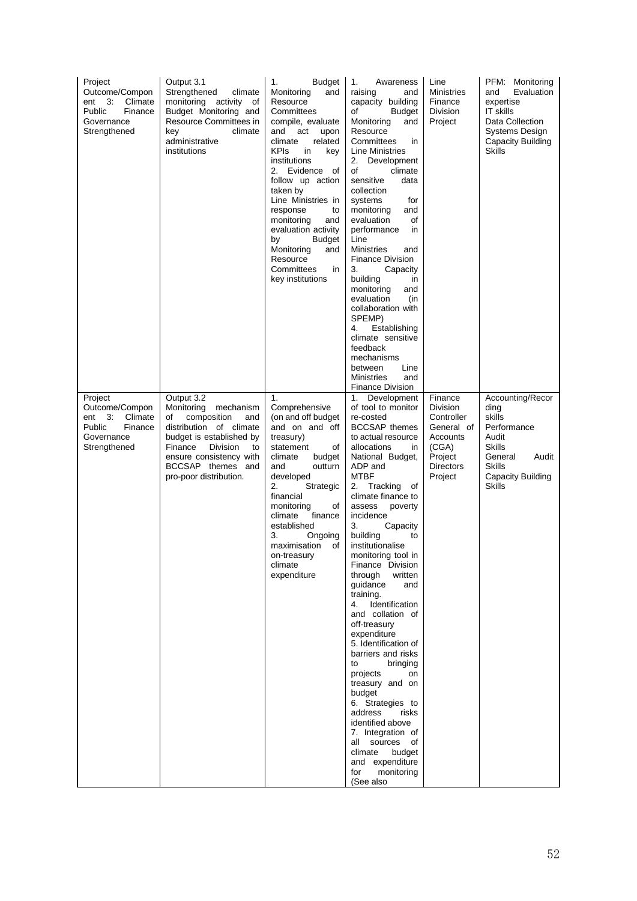| Project<br>Outcome/Compon<br>$ent$ 3:<br>Climate<br>Public<br>Finance<br>Governance<br>Strengthened | Output 3.1<br>Strengthened<br>climate<br>monitoring activity of<br>Budget Monitoring and<br>Resource Committees in<br>key<br>climate<br>administrative<br>institutions                                                       | 1.<br><b>Budget</b><br>and<br>Monitoring<br>Resource<br>Committees<br>compile, evaluate<br>and<br>act<br>upon<br>climate<br>related<br><b>KPIs</b><br>in<br>key<br>institutions<br>2. Evidence<br>of<br>follow up action<br>taken by<br>Line Ministries in<br>response<br>to<br>monitoring<br>and<br>evaluation activity<br>by<br><b>Budget</b><br>Monitoring<br>and<br>Resource<br>Committees<br>in<br>key institutions | 1.<br>Awareness<br>raising<br>and<br>capacity building<br>of<br><b>Budget</b><br>Monitoring<br>and<br>Resource<br>Committees<br>in<br>Line Ministries<br>2.<br>Development<br>of<br>climate<br>sensitive<br>data<br>collection<br>systems<br>for<br>monitoring<br>and<br>evaluation<br>οf<br>performance<br>in<br>Line<br><b>Ministries</b><br>and<br><b>Finance Division</b><br>3.<br>Capacity<br>building<br>in<br>monitoring<br>and<br>evaluation<br>(in<br>collaboration with<br>SPEMP)<br>Establishing<br>4.<br>climate sensitive<br>feedback<br>mechanisms<br>Line<br>between<br>Ministries<br>and<br><b>Finance Division</b>                                                                                                                                               | Line<br>Ministries<br>Finance<br>Division<br>Project                                                                  | PFM: Monitoring<br>Evaluation<br>and<br>expertise<br>IT skills<br>Data Collection<br>Systems Design<br>Capacity Building<br><b>Skills</b>              |
|-----------------------------------------------------------------------------------------------------|------------------------------------------------------------------------------------------------------------------------------------------------------------------------------------------------------------------------------|--------------------------------------------------------------------------------------------------------------------------------------------------------------------------------------------------------------------------------------------------------------------------------------------------------------------------------------------------------------------------------------------------------------------------|-----------------------------------------------------------------------------------------------------------------------------------------------------------------------------------------------------------------------------------------------------------------------------------------------------------------------------------------------------------------------------------------------------------------------------------------------------------------------------------------------------------------------------------------------------------------------------------------------------------------------------------------------------------------------------------------------------------------------------------------------------------------------------------|-----------------------------------------------------------------------------------------------------------------------|--------------------------------------------------------------------------------------------------------------------------------------------------------|
| Project<br>Outcome/Compon<br>$ent$ 3:<br>Climate<br>Public<br>Finance<br>Governance<br>Strengthened | Output 3.2<br>Monitoring mechanism<br>composition<br>οf<br>and<br>distribution of climate<br>budget is established by<br>Finance<br>Division<br>to<br>ensure consistency with<br>BCCSAP themes and<br>pro-poor distribution. | 1.<br>Comprehensive<br>(on and off budget)<br>and on and off<br>treasury)<br>statement<br>of<br>climate<br>budget<br>and<br>outturn<br>developed<br>2.<br>Strategic<br>financial<br>monitoring<br>of<br>climate<br>finance<br>established<br>3.<br>Ongoing<br>maximisation<br>of.<br>on-treasury<br>climate<br>expenditure                                                                                               | Development<br>1.<br>of tool to monitor<br>re-costed<br><b>BCCSAP</b> themes<br>to actual resource<br>allocations<br>in<br>National Budget,<br>ADP and<br><b>MTBF</b><br>2.<br>Tracking<br>of<br>climate finance to<br>assess<br>poverty<br>incidence<br>3.<br>Capacity<br>building<br>to<br>institutionalise<br>monitoring tool in<br>Finance Division<br>through<br>written<br>guidance<br>and<br>training.<br>4. Identification<br>and collation of<br>off-treasury<br>expenditure<br>5. Identification of<br>barriers and risks<br>to<br>bringing<br>projects<br>on<br>treasury and on<br>budget<br>6. Strategies to<br>address<br>risks<br>identified above<br>7. Integration of<br>all sources of<br>climate<br>budget<br>and expenditure<br>for<br>monitoring<br>(See also | Finance<br><b>Division</b><br>Controller<br>General of<br>Accounts<br>(CGA)<br>Project<br><b>Directors</b><br>Project | Accounting/Recor<br>ding<br>skills<br>Performance<br>Audit<br><b>Skills</b><br>General<br>Audit<br><b>Skills</b><br>Capacity Building<br><b>Skills</b> |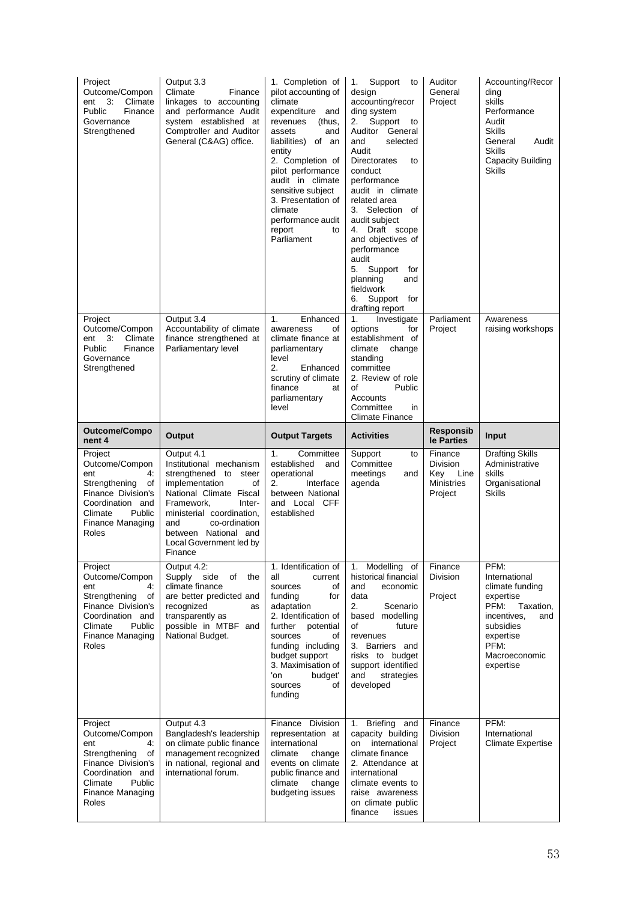| Project<br>Outcome/Compon<br>Climate<br>ent<br>3.<br>Public<br>Finance<br>Governance<br>Strengthened                                                             | Output 3.3<br>Climate<br>Finance<br>linkages to accounting<br>and performance Audit<br>system established at<br>Comptroller and Auditor<br>General (C&AG) office.                                                                              | 1. Completion of<br>pilot accounting of<br>climate<br>expenditure<br>and<br>revenues<br>(thus,<br>and<br>assets<br>liabilities)<br>of an<br>entity<br>2. Completion of<br>pilot performance<br>audit in climate<br>sensitive subject<br>3. Presentation of<br>climate<br>performance audit<br>report<br>to<br>Parliament | Support<br>1.<br>to<br>design<br>accounting/recor<br>ding system<br>Support<br>2.<br>to<br>Auditor General<br>and<br>selected<br>Audit<br><b>Directorates</b><br>to<br>conduct<br>performance<br>audit in climate<br>related area<br>3. Selection of<br>audit subject<br>4. Draft scope<br>and objectives of<br>performance<br>audit<br>5.<br>Support<br>for<br>and<br>planning<br>fieldwork<br>6. Support<br>for<br>drafting report | Auditor<br>General<br>Project                           | Accounting/Recor<br>ding<br>skills<br>Performance<br>Audit<br><b>Skills</b><br>General<br>Audit<br><b>Skills</b><br>Capacity Building<br>Skills                  |
|------------------------------------------------------------------------------------------------------------------------------------------------------------------|------------------------------------------------------------------------------------------------------------------------------------------------------------------------------------------------------------------------------------------------|--------------------------------------------------------------------------------------------------------------------------------------------------------------------------------------------------------------------------------------------------------------------------------------------------------------------------|--------------------------------------------------------------------------------------------------------------------------------------------------------------------------------------------------------------------------------------------------------------------------------------------------------------------------------------------------------------------------------------------------------------------------------------|---------------------------------------------------------|------------------------------------------------------------------------------------------------------------------------------------------------------------------|
| Project<br>Outcome/Compon<br>Climate<br>$ent$ 3:<br>Public<br>Finance<br>Governance<br>Strengthened                                                              | Output 3.4<br>Accountability of climate<br>finance strengthened at<br>Parliamentary level                                                                                                                                                      | 1.<br>Enhanced<br>awareness<br>οf<br>climate finance at<br>parliamentary<br>level<br>2.<br>Enhanced<br>scrutiny of climate<br>finance<br>at<br>parliamentary<br>level                                                                                                                                                    | Investigate<br>1.<br>options<br>for<br>establishment of<br>climate<br>change<br>standing<br>committee<br>2. Review of role<br>Public<br>of<br>Accounts<br>Committee<br>in<br><b>Climate Finance</b>                                                                                                                                                                                                                                  | Parliament<br>Project                                   | Awareness<br>raising workshops                                                                                                                                   |
| Outcome/Compo<br>nent 4                                                                                                                                          | <b>Output</b>                                                                                                                                                                                                                                  | <b>Output Targets</b>                                                                                                                                                                                                                                                                                                    | <b>Activities</b>                                                                                                                                                                                                                                                                                                                                                                                                                    | <b>Responsib</b><br>le Parties                          | Input                                                                                                                                                            |
| Project                                                                                                                                                          | Output 4.1                                                                                                                                                                                                                                     | 1.<br>Committee                                                                                                                                                                                                                                                                                                          | Support<br>to                                                                                                                                                                                                                                                                                                                                                                                                                        | Finance                                                 | <b>Drafting Skills</b>                                                                                                                                           |
| Outcome/Compon<br>ent<br>4.<br>Strengthening<br>of<br>Finance Division's<br>Coordination and<br>Climate<br>Public<br>Finance Managing<br>Roles                   | Institutional mechanism<br>strengthened to steer<br>implementation<br>of<br>National Climate Fiscal<br>Framework,<br>Inter-<br>ministerial coordination,<br>and<br>co-ordination<br>between National and<br>Local Government led by<br>Finance | established<br>and<br>operational<br>2.<br>Interface<br>between National<br>and Local CFF<br>established                                                                                                                                                                                                                 | Committee<br>meetings<br>and<br>agenda                                                                                                                                                                                                                                                                                                                                                                                               | Division<br>Key<br>Line<br><b>Ministries</b><br>Project | Administrative<br>skills<br>Organisational<br><b>Skills</b>                                                                                                      |
| Project<br>Outcome/Compon<br>ent<br>4:<br>Strengthening<br>of<br>Finance Division's<br>Coordination and<br>Public<br>Climate<br><b>Finance Managing</b><br>Roles | Output 4.2:<br>Supply side<br>of<br>the<br>climate finance<br>are better predicted and<br>recognized<br>as<br>transparently as<br>possible in MTBF and<br>National Budget.                                                                     | 1. Identification of<br>all<br>current<br>sources<br>0f<br>funding<br>for<br>adaptation<br>2. Identification of<br>further<br>potential<br>sources<br>οf<br>funding including<br>budget support<br>3. Maximisation of<br>'on<br>budget'<br>sources<br>of<br>funding                                                      | Modelling of<br>1.<br>historical financial<br>and<br>economic<br>data<br>2.<br>Scenario<br>based modelling<br>future<br>of<br>revenues<br>3. Barriers and<br>risks to budget<br>support identified<br>and<br>strategies<br>developed                                                                                                                                                                                                 | Finance<br><b>Division</b><br>Project                   | PFM:<br>International<br>climate funding<br>expertise<br>PFM:<br>Taxation,<br>incentives,<br>and<br>subsidies<br>expertise<br>PFM:<br>Macroeconomic<br>expertise |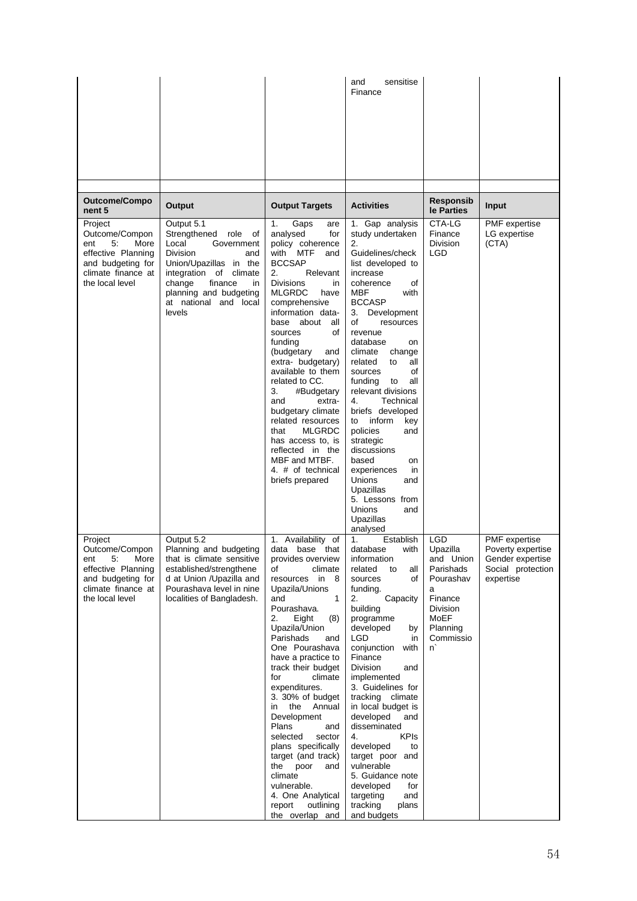|                                                                                                                                    |                                                                                                                                                                                                                                       |                                                                                                                                                                                                                                                                                                                                                                                                                                                                                                                                                                  | sensitise<br>and<br>Finance                                                                                                                                                                                                                                                                                                                                                                                                                                                                                                                                                     |                                                                                                                                  |                                                                                          |
|------------------------------------------------------------------------------------------------------------------------------------|---------------------------------------------------------------------------------------------------------------------------------------------------------------------------------------------------------------------------------------|------------------------------------------------------------------------------------------------------------------------------------------------------------------------------------------------------------------------------------------------------------------------------------------------------------------------------------------------------------------------------------------------------------------------------------------------------------------------------------------------------------------------------------------------------------------|---------------------------------------------------------------------------------------------------------------------------------------------------------------------------------------------------------------------------------------------------------------------------------------------------------------------------------------------------------------------------------------------------------------------------------------------------------------------------------------------------------------------------------------------------------------------------------|----------------------------------------------------------------------------------------------------------------------------------|------------------------------------------------------------------------------------------|
| Outcome/Compo<br>nent 5                                                                                                            | Output                                                                                                                                                                                                                                | <b>Output Targets</b>                                                                                                                                                                                                                                                                                                                                                                                                                                                                                                                                            | <b>Activities</b>                                                                                                                                                                                                                                                                                                                                                                                                                                                                                                                                                               | <b>Responsib</b><br>le Parties                                                                                                   | <b>Input</b>                                                                             |
| Project<br>Outcome/Compon<br>5:<br>ent<br>More<br>effective Planning<br>and budgeting for<br>climate finance at<br>the local level | Output 5.1<br>Strengthened<br>role<br>οf<br>Local<br>Government<br><b>Division</b><br>and<br>Union/Upazillas in the<br>integration of climate<br>change<br>finance<br>in<br>planning and budgeting<br>at national and local<br>levels | 1.<br>Gaps<br>are<br>analysed<br>for<br>policy coherence<br>with<br>MTF<br>and<br><b>BCCSAP</b><br>2.<br>Relevant<br><b>Divisions</b><br>in<br><b>MLGRDC</b><br>have<br>comprehensive<br>information data-<br>base<br>about<br>all<br>οf<br>sources<br>funding<br>(budgetary<br>and<br>extra- budgetary)<br>available to them<br>related to CC.<br>3.<br>#Budgetary<br>and<br>extra-<br>budgetary climate<br>related resources<br>that<br><b>MLGRDC</b><br>has access to, is<br>reflected in the<br>MBF and MTBF.<br>4. # of technical<br>briefs prepared        | 1. Gap analysis<br>study undertaken<br>2.<br>Guidelines/check<br>list developed to<br>increase<br>coherence<br>οf<br>MBF<br>with<br><b>BCCASP</b><br>Development<br>3.<br>of<br>resources<br>revenue<br>database<br>on<br>climate<br>change<br>related<br>to<br>all<br>οf<br>sources<br>funding<br>all<br>to<br>relevant divisions<br>4.<br>Technical<br>briefs developed<br>inform<br>to<br>key<br>policies<br>and<br>strategic<br>discussions<br>based<br>on<br>experiences<br>in.<br>Unions<br>and<br>Upazillas<br>5. Lessons from<br>Unions<br>and<br>Upazillas<br>analysed | CTA-LG<br>Finance<br><b>Division</b><br>LGD                                                                                      | PMF expertise<br>LG expertise<br>(CTA)                                                   |
| Project<br>Outcome/Compon<br>5.<br>More<br>ent<br>effective Planning<br>and budgeting for<br>climate finance at<br>the local level | Output 5.2<br>Planning and budgeting<br>that is climate sensitive<br>established/strengthene<br>d at Union /Upazilla and<br>Pourashava level in nine<br>localities of Bangladesh.                                                     | 1. Availability of<br>data base that<br>provides overview<br>of<br>climate<br>resources in 8<br>Upazila/Unions<br>and<br>1<br>Pourashava.<br>2.<br>Eight<br>(8)<br>Upazila/Union<br>Parishads<br>and<br>One Pourashava<br>have a practice to<br>track their budget<br>for<br>climate<br>expenditures.<br>3. 30% of budget<br>in<br>the<br>Annual<br>Development<br>Plans<br>and<br>selected<br>sector<br>plans specifically<br>target (and track)<br>poor<br>the<br>and<br>climate<br>vulnerable.<br>4. One Analytical<br>report<br>outlining<br>the overlap and | 1.<br>Establish<br>database<br>with<br>information<br>related<br>to<br>all<br>sources<br>οf<br>funding.<br>Capacity<br>2.<br>building<br>programme<br>developed<br>by<br>LGD<br>in<br>conjunction<br>with<br>Finance<br>Division<br>and<br>implemented<br>3. Guidelines for<br>tracking climate<br>in local budget is<br>developed<br>and<br>disseminated<br><b>KPIs</b><br>4.<br>developed<br>to<br>target poor and<br>vulnerable<br>5. Guidance note<br>developed<br>for<br>targeting<br>and<br>tracking<br>plans<br>and budgets                                              | <b>LGD</b><br>Upazilla<br>and Union<br>Parishads<br>Pourashav<br>a<br>Finance<br>Division<br>MoEF<br>Planning<br>Commissio<br>n` | PMF expertise<br>Poverty expertise<br>Gender expertise<br>Social protection<br>expertise |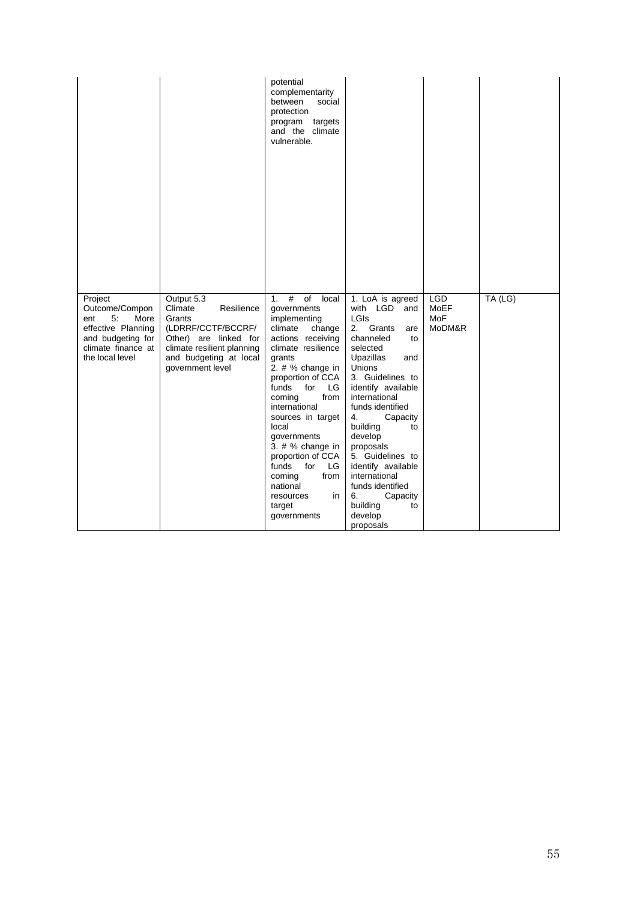|                                                                                                                                    |                                                                                                                                                                          | potential<br>complementarity<br>between<br>social<br>protection<br>program<br>targets<br>and the climate<br>vulnerable.                                                                                                                                                                                                                                                                                                                |                                                                                                                                                                                                                                                                                                                                                                                                                              |                                     |         |
|------------------------------------------------------------------------------------------------------------------------------------|--------------------------------------------------------------------------------------------------------------------------------------------------------------------------|----------------------------------------------------------------------------------------------------------------------------------------------------------------------------------------------------------------------------------------------------------------------------------------------------------------------------------------------------------------------------------------------------------------------------------------|------------------------------------------------------------------------------------------------------------------------------------------------------------------------------------------------------------------------------------------------------------------------------------------------------------------------------------------------------------------------------------------------------------------------------|-------------------------------------|---------|
| Project<br>Outcome/Compon<br>5:<br>More<br>ent<br>effective Planning<br>and budgeting for<br>climate finance at<br>the local level | Output 5.3<br>Resilience<br>Climate<br>Grants<br>(LDRRF/CCTF/BCCRF/<br>Other) are linked for<br>climate resilient planning<br>and budgeting at local<br>government level | #<br>$\overline{of}$<br>1.<br>local<br>governments<br>implementing<br>climate<br>change<br>actions receiving<br>climate resilience<br>grants<br>2. # % change in<br>proportion of CCA<br>funds<br>for<br>LG<br>coming<br>from<br>international<br>sources in target<br>local<br>governments<br>3. $#$ % change in<br>proportion of CCA<br>funds<br>for<br>LG<br>coming<br>from<br>national<br>resources<br>in<br>target<br>governments | 1. LoA is agreed<br>with LGD<br>and<br><b>LGIs</b><br>Grants<br>2.<br>are<br>channeled<br>to<br>selected<br>Upazillas<br>and<br>Unions<br>3. Guidelines to<br>identify available<br>international<br>funds identified<br>4.<br>Capacity<br>building<br>to<br>develop<br>proposals<br>5. Guidelines to<br>identify available<br>international<br>funds identified<br>Capacity<br>6.<br>building<br>to<br>develop<br>proposals | <b>LGD</b><br>MoEF<br>MoF<br>MoDM&R | TA (LG) |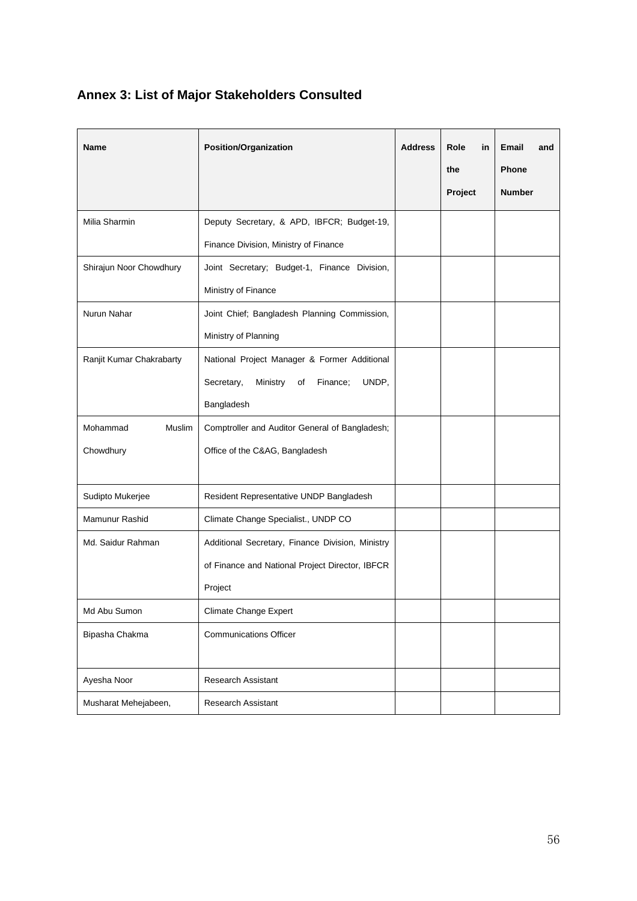| Annex 3: List of Major Stakeholders Consulted |  |  |
|-----------------------------------------------|--|--|
|-----------------------------------------------|--|--|

| Name                            | <b>Position/Organization</b>                                                                                    | <b>Address</b> | Role<br>in<br>the<br>Project | Email<br>and<br><b>Phone</b><br><b>Number</b> |
|---------------------------------|-----------------------------------------------------------------------------------------------------------------|----------------|------------------------------|-----------------------------------------------|
| Milia Sharmin                   | Deputy Secretary, & APD, IBFCR; Budget-19,<br>Finance Division, Ministry of Finance                             |                |                              |                                               |
| Shirajun Noor Chowdhury         | Joint Secretary; Budget-1, Finance Division,<br>Ministry of Finance                                             |                |                              |                                               |
| Nurun Nahar                     | Joint Chief; Bangladesh Planning Commission,<br>Ministry of Planning                                            |                |                              |                                               |
| Ranjit Kumar Chakrabarty        | National Project Manager & Former Additional<br>Secretary,<br>Ministry<br>Finance;<br>UNDP,<br>of<br>Bangladesh |                |                              |                                               |
| Mohammad<br>Muslim<br>Chowdhury | Comptroller and Auditor General of Bangladesh;<br>Office of the C&AG, Bangladesh                                |                |                              |                                               |
| Sudipto Mukerjee                | Resident Representative UNDP Bangladesh                                                                         |                |                              |                                               |
| Mamunur Rashid                  | Climate Change Specialist., UNDP CO                                                                             |                |                              |                                               |
| Md. Saidur Rahman               | Additional Secretary, Finance Division, Ministry<br>of Finance and National Project Director, IBFCR<br>Project  |                |                              |                                               |
| Md Abu Sumon                    | Climate Change Expert                                                                                           |                |                              |                                               |
| Bipasha Chakma                  | <b>Communications Officer</b>                                                                                   |                |                              |                                               |
| Ayesha Noor                     | <b>Research Assistant</b>                                                                                       |                |                              |                                               |
| Musharat Mehejabeen,            | <b>Research Assistant</b>                                                                                       |                |                              |                                               |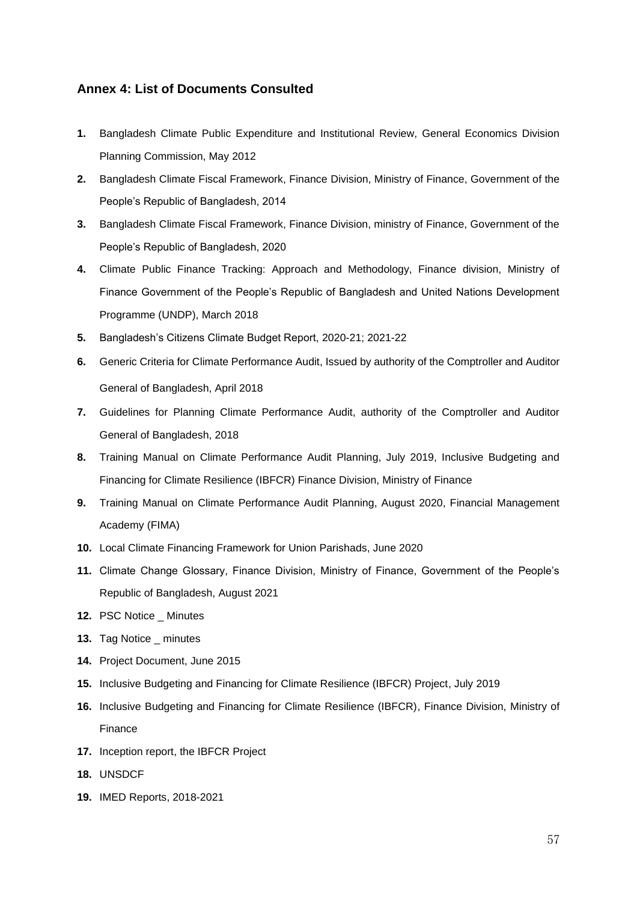# **Annex 4: List of Documents Consulted**

- **1.** Bangladesh Climate Public Expenditure and Institutional Review, General Economics Division Planning Commission, May 2012
- **2.** Bangladesh Climate Fiscal Framework, Finance Division, Ministry of Finance, Government of the People's Republic of Bangladesh, 2014
- **3.** Bangladesh Climate Fiscal Framework, Finance Division, ministry of Finance, Government of the People's Republic of Bangladesh, 2020
- **4.** Climate Public Finance Tracking: Approach and Methodology, Finance division, Ministry of Finance Government of the People's Republic of Bangladesh and United Nations Development Programme (UNDP), March 2018
- **5.** Bangladesh's Citizens Climate Budget Report, 2020-21; 2021-22
- **6.** Generic Criteria for Climate Performance Audit, Issued by authority of the Comptroller and Auditor General of Bangladesh, April 2018
- **7.** Guidelines for Planning Climate Performance Audit, authority of the Comptroller and Auditor General of Bangladesh, 2018
- **8.** Training Manual on Climate Performance Audit Planning, July 2019, Inclusive Budgeting and Financing for Climate Resilience (IBFCR) Finance Division, Ministry of Finance
- **9.** Training Manual on Climate Performance Audit Planning, August 2020, Financial Management Academy (FIMA)
- **10.** Local Climate Financing Framework for Union Parishads, June 2020
- **11.** Climate Change Glossary, Finance Division, Ministry of Finance, Government of the People's Republic of Bangladesh, August 2021
- 12. PSC Notice Minutes
- **13.** Tag Notice \_ minutes
- **14.** Project Document, June 2015
- **15.** Inclusive Budgeting and Financing for Climate Resilience (IBFCR) Project, July 2019
- **16.** Inclusive Budgeting and Financing for Climate Resilience (IBFCR), Finance Division, Ministry of Finance
- **17.** Inception report, the IBFCR Project
- **18.** UNSDCF
- **19.** IMED Reports, 2018-2021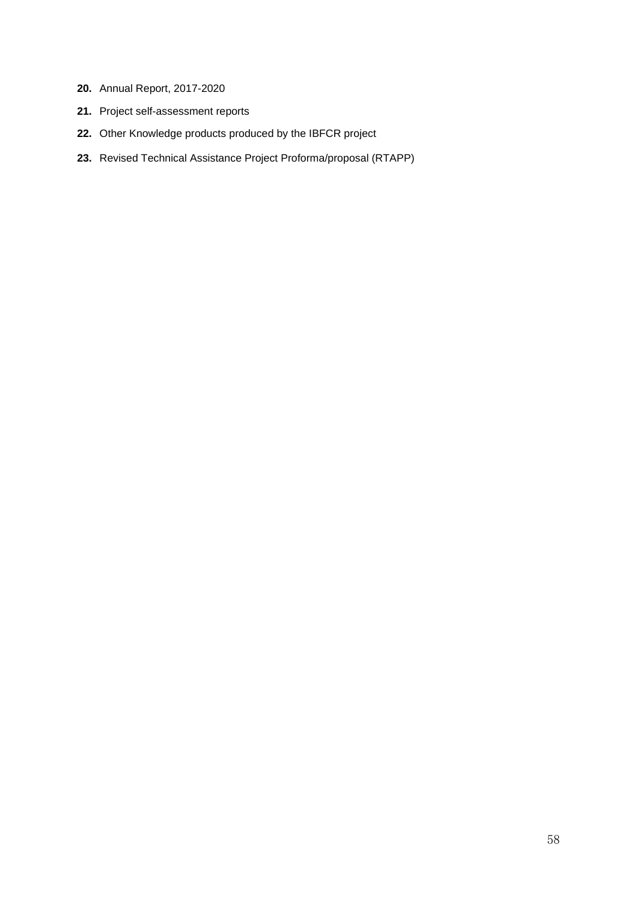- **20.** Annual Report, 2017-2020
- **21.** Project self-assessment reports
- **22.** Other Knowledge products produced by the IBFCR project
- **23.** Revised Technical Assistance Project Proforma/proposal (RTAPP)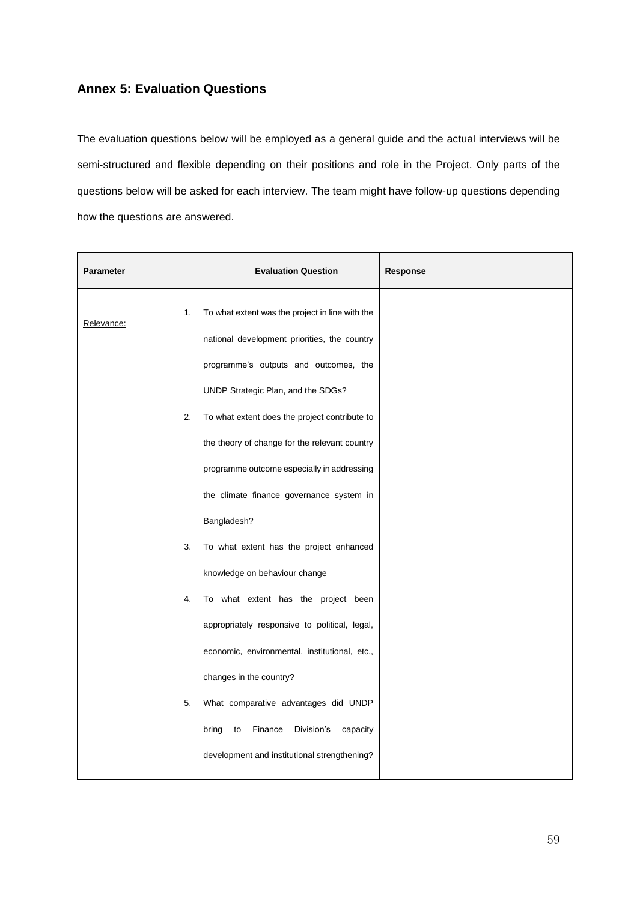# **Annex 5: Evaluation Questions**

The evaluation questions below will be employed as a general guide and the actual interviews will be semi-structured and flexible depending on their positions and role in the Project. Only parts of the questions below will be asked for each interview. The team might have follow-up questions depending how the questions are answered.

| <b>Parameter</b> | <b>Evaluation Question</b><br><b>Response</b>                                         |
|------------------|---------------------------------------------------------------------------------------|
| Relevance:       | 1.<br>To what extent was the project in line with the                                 |
|                  | national development priorities, the country<br>programme's outputs and outcomes, the |
|                  | UNDP Strategic Plan, and the SDGs?                                                    |
|                  | 2.<br>To what extent does the project contribute to                                   |
|                  | the theory of change for the relevant country                                         |
|                  | programme outcome especially in addressing                                            |
|                  | the climate finance governance system in                                              |
|                  | Bangladesh?                                                                           |
|                  | 3.<br>To what extent has the project enhanced                                         |
|                  | knowledge on behaviour change                                                         |
|                  | 4.<br>To what extent has the project been                                             |
|                  | appropriately responsive to political, legal,                                         |
|                  | economic, environmental, institutional, etc.,                                         |
|                  | changes in the country?                                                               |
|                  | 5.<br>What comparative advantages did UNDP                                            |
|                  | Division's<br>bring<br>Finance<br>capacity<br>to                                      |
|                  | development and institutional strengthening?                                          |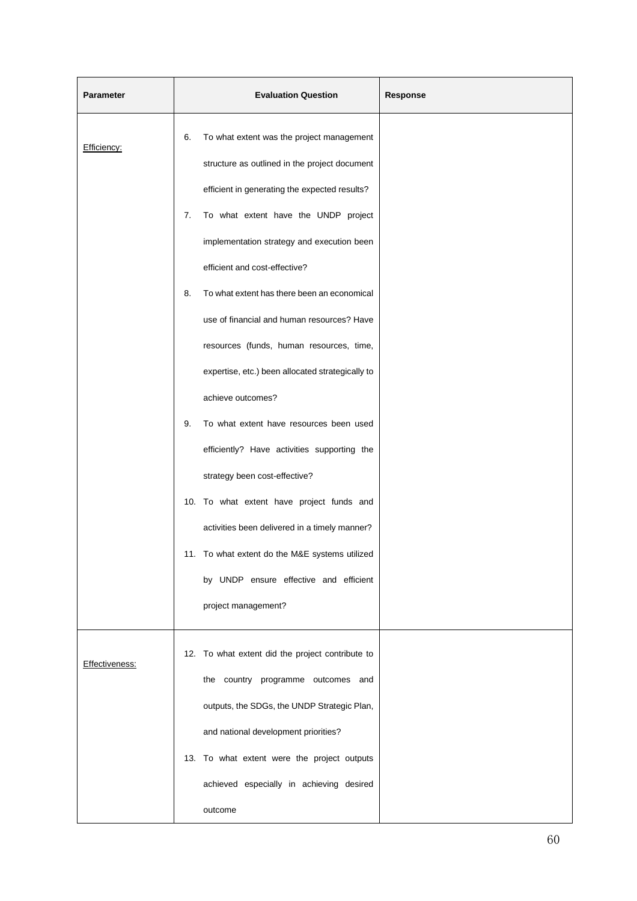| <b>Parameter</b> | <b>Evaluation Question</b><br><b>Response</b>     |
|------------------|---------------------------------------------------|
|                  | To what extent was the project management<br>6.   |
| Efficiency:      | structure as outlined in the project document     |
|                  | efficient in generating the expected results?     |
|                  | 7.<br>To what extent have the UNDP project        |
|                  | implementation strategy and execution been        |
|                  | efficient and cost-effective?                     |
|                  | To what extent has there been an economical<br>8. |
|                  | use of financial and human resources? Have        |
|                  |                                                   |
|                  | resources (funds, human resources, time,          |
|                  | expertise, etc.) been allocated strategically to  |
|                  | achieve outcomes?                                 |
|                  | To what extent have resources been used<br>9.     |
|                  | efficiently? Have activities supporting the       |
|                  | strategy been cost-effective?                     |
|                  | 10. To what extent have project funds and         |
|                  | activities been delivered in a timely manner?     |
|                  | 11. To what extent do the M&E systems utilized    |
|                  | by UNDP ensure effective and efficient            |
|                  | project management?                               |
|                  | 12. To what extent did the project contribute to  |
| Effectiveness:   | the country programme outcomes and                |
|                  |                                                   |
|                  | outputs, the SDGs, the UNDP Strategic Plan,       |
|                  | and national development priorities?              |
|                  | 13. To what extent were the project outputs       |
|                  | achieved especially in achieving desired          |
|                  | outcome                                           |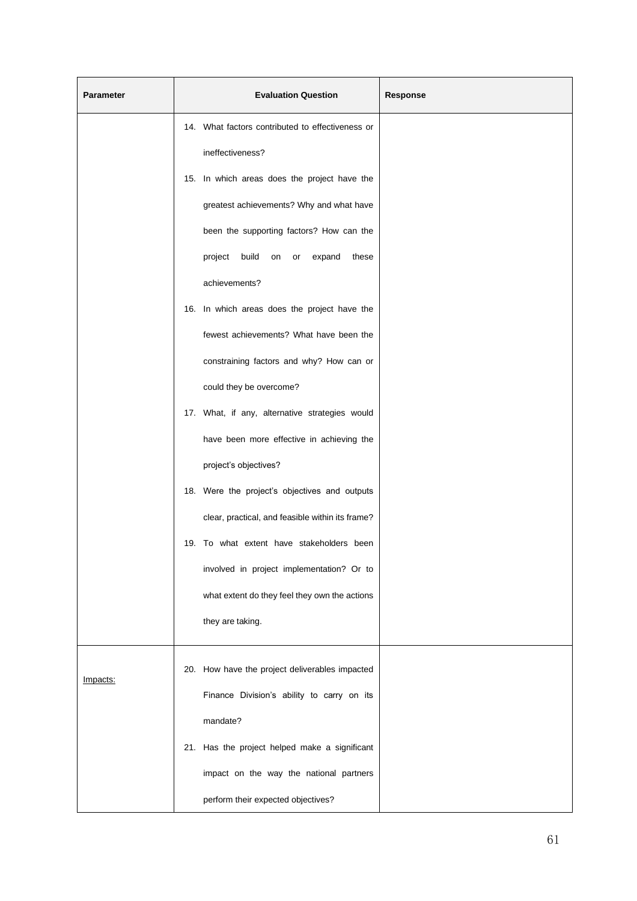| Parameter | <b>Evaluation Question</b><br>Response           |
|-----------|--------------------------------------------------|
|           | 14. What factors contributed to effectiveness or |
|           | ineffectiveness?                                 |
|           | 15. In which areas does the project have the     |
|           | greatest achievements? Why and what have         |
|           | been the supporting factors? How can the         |
|           | build<br>project<br>expand<br>these<br>on<br>or  |
|           | achievements?                                    |
|           | 16. In which areas does the project have the     |
|           | fewest achievements? What have been the          |
|           | constraining factors and why? How can or         |
|           | could they be overcome?                          |
|           | 17. What, if any, alternative strategies would   |
|           | have been more effective in achieving the        |
|           | project's objectives?                            |
|           | 18. Were the project's objectives and outputs    |
|           | clear, practical, and feasible within its frame? |
|           | 19. To what extent have stakeholders been        |
|           | involved in project implementation? Or to        |
|           | what extent do they feel they own the actions    |
|           | they are taking.                                 |
|           |                                                  |
| Impacts:  | 20. How have the project deliverables impacted   |
|           | Finance Division's ability to carry on its       |
|           | mandate?                                         |
|           | 21. Has the project helped make a significant    |
|           | impact on the way the national partners          |
|           | perform their expected objectives?               |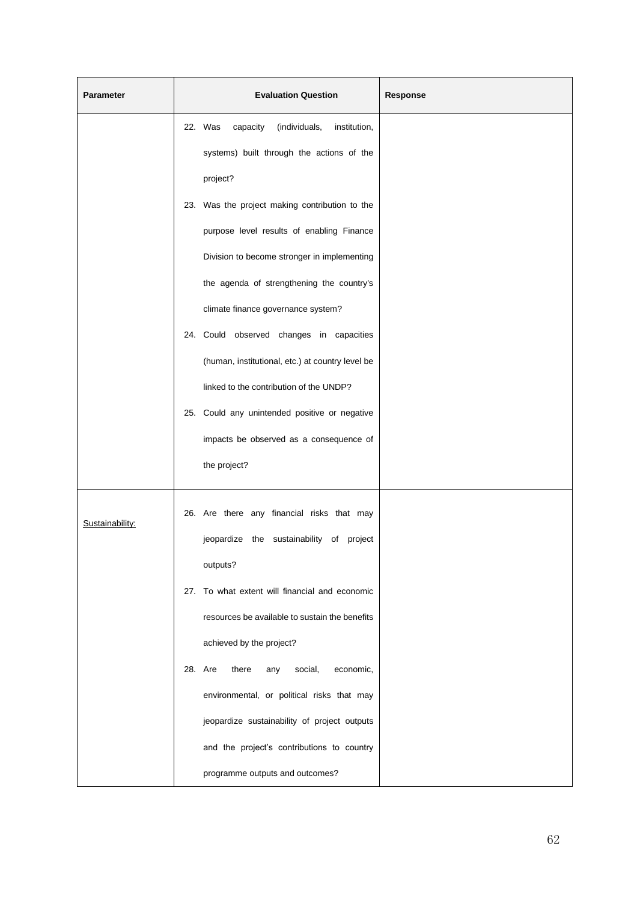| Parameter       | <b>Evaluation Question</b>                           | <b>Response</b> |
|-----------------|------------------------------------------------------|-----------------|
|                 | 22. Was<br>capacity<br>(individuals,<br>institution, |                 |
|                 | systems) built through the actions of the            |                 |
|                 | project?                                             |                 |
|                 | 23. Was the project making contribution to the       |                 |
|                 | purpose level results of enabling Finance            |                 |
|                 | Division to become stronger in implementing          |                 |
|                 | the agenda of strengthening the country's            |                 |
|                 | climate finance governance system?                   |                 |
|                 | 24. Could observed changes in capacities             |                 |
|                 | (human, institutional, etc.) at country level be     |                 |
|                 | linked to the contribution of the UNDP?              |                 |
|                 | 25. Could any unintended positive or negative        |                 |
|                 | impacts be observed as a consequence of              |                 |
|                 | the project?                                         |                 |
|                 | 26. Are there any financial risks that may           |                 |
| Sustainability: | jeopardize the sustainability of project             |                 |
|                 | outputs?                                             |                 |
|                 | To what extent will financial and economic<br>27.    |                 |
|                 | resources be available to sustain the benefits       |                 |
|                 | achieved by the project?                             |                 |
|                 | 28. Are<br>there<br>economic,<br>social,<br>any      |                 |
|                 | environmental, or political risks that may           |                 |
|                 | jeopardize sustainability of project outputs         |                 |
|                 | and the project's contributions to country           |                 |
|                 | programme outputs and outcomes?                      |                 |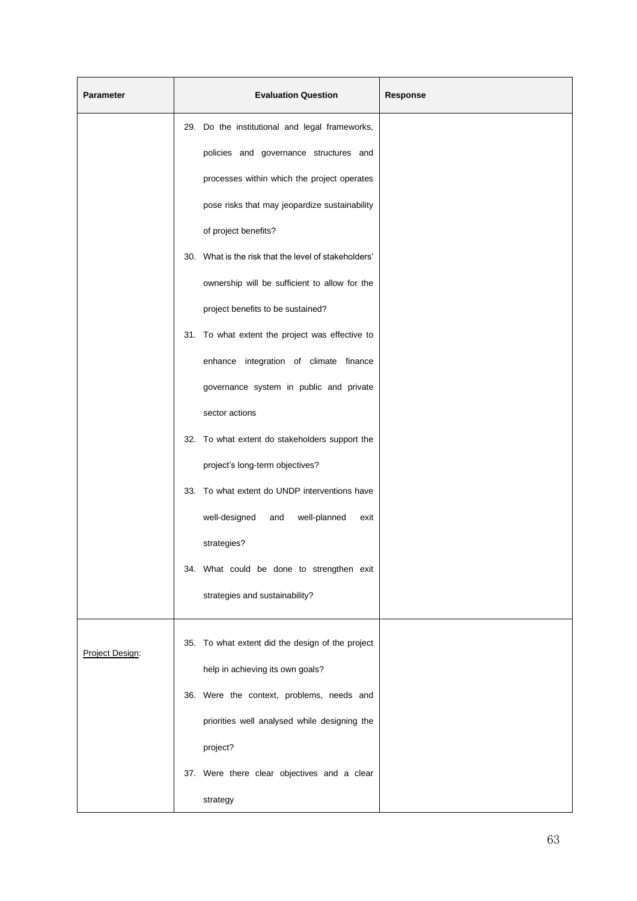| <b>Parameter</b> | <b>Evaluation Question</b><br><b>Response</b>        |
|------------------|------------------------------------------------------|
|                  | 29. Do the institutional and legal frameworks,       |
|                  | policies and governance structures and               |
|                  | processes within which the project operates          |
|                  | pose risks that may jeopardize sustainability        |
|                  | of project benefits?                                 |
|                  | 30. What is the risk that the level of stakeholders' |
|                  | ownership will be sufficient to allow for the        |
|                  | project benefits to be sustained?                    |
|                  | 31. To what extent the project was effective to      |
|                  | enhance integration of climate finance               |
|                  | governance system in public and private              |
|                  | sector actions                                       |
|                  | 32. To what extent do stakeholders support the       |
|                  | project's long-term objectives?                      |
|                  | 33. To what extent do UNDP interventions have        |
|                  | well-designed<br>well-planned<br>and<br>exit         |
|                  | strategies?                                          |
|                  | 34. What could be done to strengthen exit            |
|                  | strategies and sustainability?                       |
|                  | 35. To what extent did the design of the project     |
| Project Design:  | help in achieving its own goals?                     |
|                  | 36. Were the context, problems, needs and            |
|                  | priorities well analysed while designing the         |
|                  | project?                                             |
|                  | 37. Were there clear objectives and a clear          |
|                  | strategy                                             |
|                  |                                                      |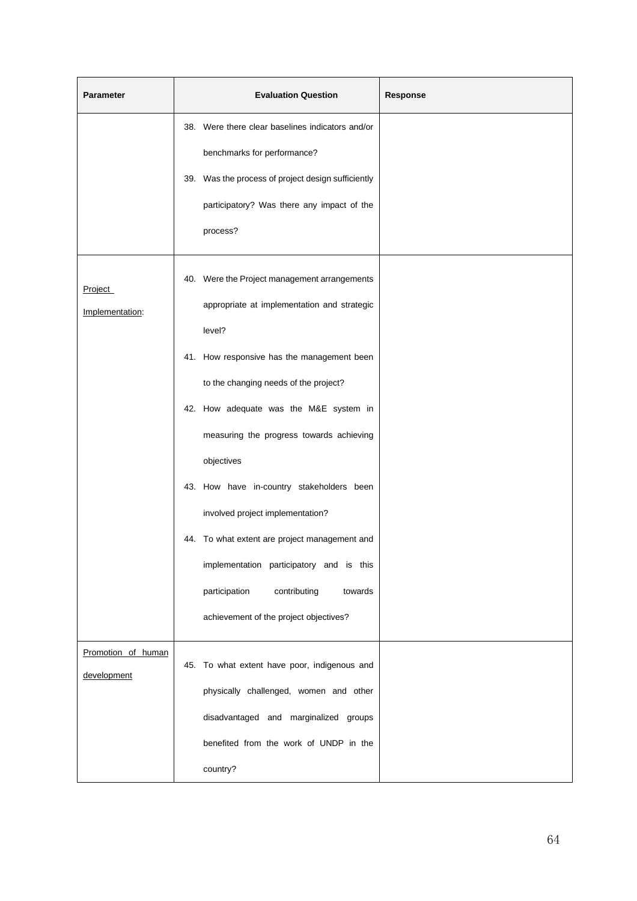| <b>Parameter</b>                  | <b>Evaluation Question</b><br><b>Response</b>      |
|-----------------------------------|----------------------------------------------------|
|                                   | 38. Were there clear baselines indicators and/or   |
|                                   | benchmarks for performance?                        |
|                                   | 39. Was the process of project design sufficiently |
|                                   | participatory? Was there any impact of the         |
|                                   | process?                                           |
| <b>Project</b>                    | 40. Were the Project management arrangements       |
| Implementation:                   | appropriate at implementation and strategic        |
|                                   | level?                                             |
|                                   | 41. How responsive has the management been         |
|                                   | to the changing needs of the project?              |
|                                   | 42. How adequate was the M&E system in             |
|                                   | measuring the progress towards achieving           |
|                                   | objectives                                         |
|                                   | 43. How have in-country stakeholders been          |
|                                   | involved project implementation?                   |
|                                   | 44. To what extent are project management and      |
|                                   | implementation participatory and is this           |
|                                   | contributing<br>participation<br>towards           |
|                                   | achievement of the project objectives?             |
| Promotion of human<br>development | To what extent have poor, indigenous and<br>45.    |
|                                   | physically challenged, women and other             |
|                                   | disadvantaged and marginalized groups              |
|                                   | benefited from the work of UNDP in the             |
|                                   | country?                                           |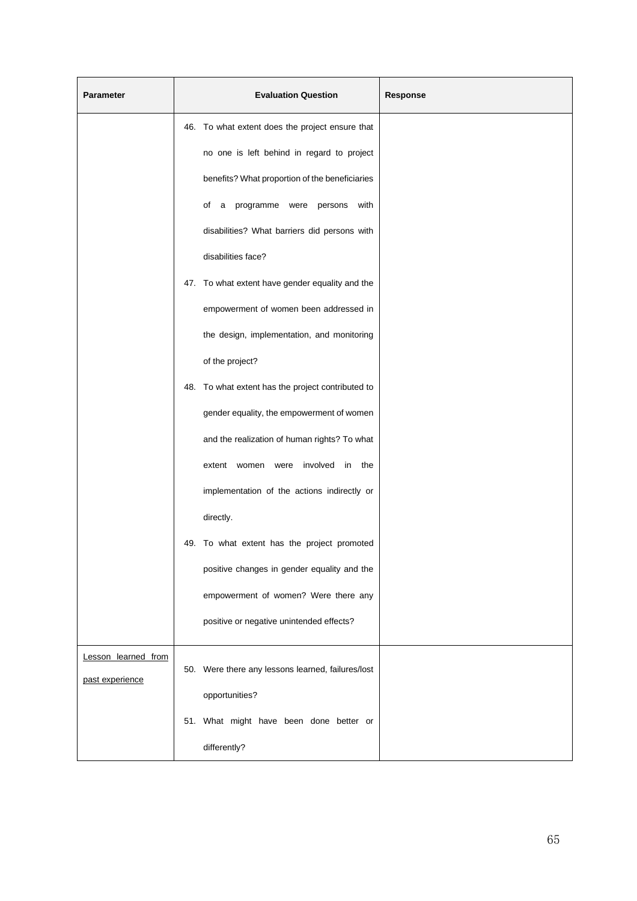| Parameter           |     | <b>Evaluation Question</b>                        | Response |
|---------------------|-----|---------------------------------------------------|----------|
|                     |     | 46. To what extent does the project ensure that   |          |
|                     |     | no one is left behind in regard to project        |          |
|                     |     | benefits? What proportion of the beneficiaries    |          |
|                     |     | of a programme were persons with                  |          |
|                     |     | disabilities? What barriers did persons with      |          |
|                     |     | disabilities face?                                |          |
|                     |     | 47. To what extent have gender equality and the   |          |
|                     |     | empowerment of women been addressed in            |          |
|                     |     | the design, implementation, and monitoring        |          |
|                     |     | of the project?                                   |          |
|                     | 48. | To what extent has the project contributed to     |          |
|                     |     | gender equality, the empowerment of women         |          |
|                     |     | and the realization of human rights? To what      |          |
|                     |     | extent women were involved in the                 |          |
|                     |     | implementation of the actions indirectly or       |          |
|                     |     | directly.                                         |          |
|                     |     | 49. To what extent has the project promoted       |          |
|                     |     | positive changes in gender equality and the       |          |
|                     |     | empowerment of women? Were there any              |          |
|                     |     | positive or negative unintended effects?          |          |
| Lesson learned from |     |                                                   |          |
| past experience     |     | 50. Were there any lessons learned, failures/lost |          |
|                     |     | opportunities?                                    |          |
|                     |     | 51. What might have been done better or           |          |
|                     |     | differently?                                      |          |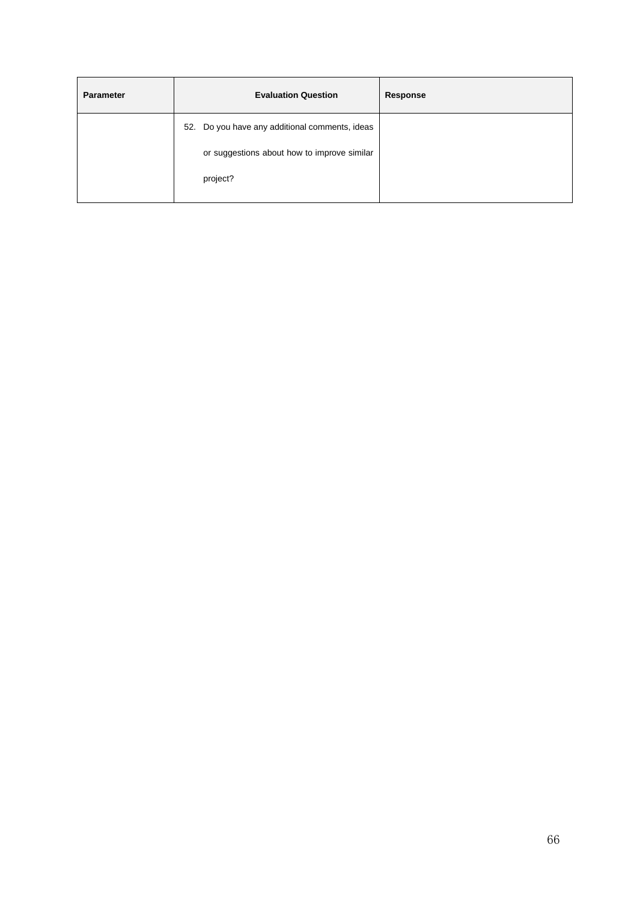| <b>Parameter</b> | <b>Evaluation Question</b>                     | Response |
|------------------|------------------------------------------------|----------|
|                  | 52. Do you have any additional comments, ideas |          |
|                  | or suggestions about how to improve similar    |          |
|                  | project?                                       |          |
|                  |                                                |          |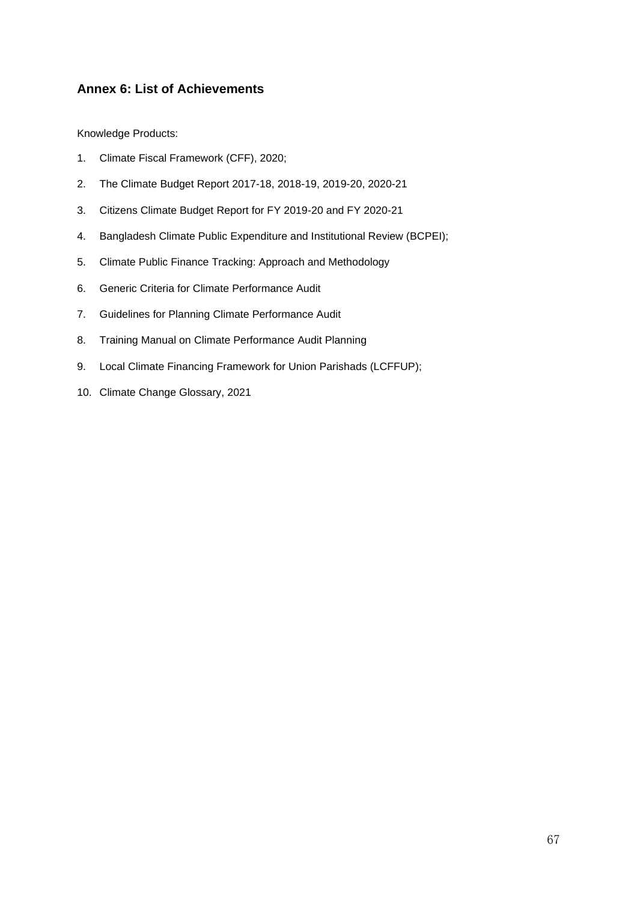# **Annex 6: List of Achievements**

Knowledge Products:

- 1. Climate Fiscal Framework (CFF), 2020;
- 2. The Climate Budget Report 2017-18, 2018-19, 2019-20, 2020-21
- 3. Citizens Climate Budget Report for FY 2019-20 and FY 2020-21
- 4. Bangladesh Climate Public Expenditure and Institutional Review (BCPEI);
- 5. Climate Public Finance Tracking: Approach and Methodology
- 6. Generic Criteria for Climate Performance Audit
- 7. Guidelines for Planning Climate Performance Audit
- 8. Training Manual on Climate Performance Audit Planning
- 9. Local Climate Financing Framework for Union Parishads (LCFFUP);
- 10. Climate Change Glossary, 2021